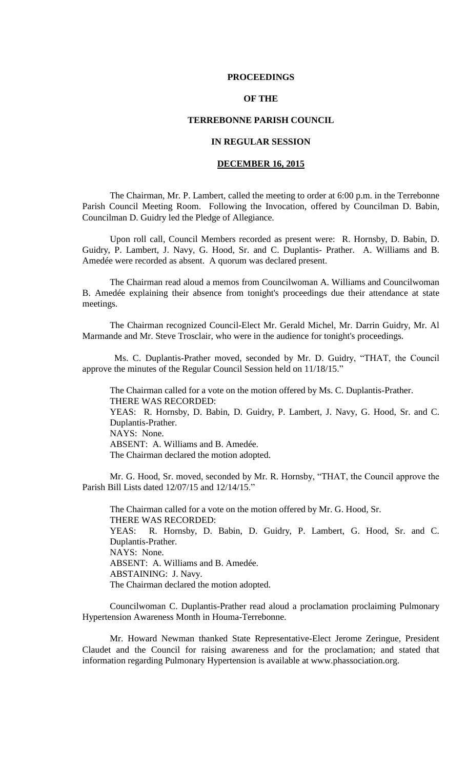### **PROCEEDINGS**

# **OF THE**

## **TERREBONNE PARISH COUNCIL**

# **IN REGULAR SESSION**

# **DECEMBER 16, 2015**

The Chairman, Mr. P. Lambert, called the meeting to order at 6:00 p.m. in the Terrebonne Parish Council Meeting Room. Following the Invocation, offered by Councilman D. Babin, Councilman D. Guidry led the Pledge of Allegiance.

Upon roll call, Council Members recorded as present were: R. Hornsby, D. Babin, D. Guidry, P. Lambert, J. Navy, G. Hood, Sr. and C. Duplantis- Prather. A. Williams and B. Amedée were recorded as absent. A quorum was declared present.

The Chairman read aloud a memos from Councilwoman A. Williams and Councilwoman B. Amedée explaining their absence from tonight's proceedings due their attendance at state meetings.

The Chairman recognized Council-Elect Mr. Gerald Michel, Mr. Darrin Guidry, Mr. Al Marmande and Mr. Steve Trosclair, who were in the audience for tonight's proceedings.

 Ms. C. Duplantis-Prather moved, seconded by Mr. D. Guidry, "THAT, the Council approve the minutes of the Regular Council Session held on 11/18/15."

The Chairman called for a vote on the motion offered by Ms. C. Duplantis-Prather. THERE WAS RECORDED:

YEAS: R. Hornsby, D. Babin, D. Guidry, P. Lambert, J. Navy, G. Hood, Sr. and C. Duplantis-Prather. NAYS: None.

ABSENT: A. Williams and B. Amedée.

The Chairman declared the motion adopted.

Mr. G. Hood, Sr. moved, seconded by Mr. R. Hornsby, "THAT, the Council approve the Parish Bill Lists dated 12/07/15 and 12/14/15."

The Chairman called for a vote on the motion offered by Mr. G. Hood, Sr. THERE WAS RECORDED: YEAS: R. Hornsby, D. Babin, D. Guidry, P. Lambert, G. Hood, Sr. and C. Duplantis-Prather. NAYS: None. ABSENT: A. Williams and B. Amedée. ABSTAINING: J. Navy. The Chairman declared the motion adopted.

Councilwoman C. Duplantis-Prather read aloud a proclamation proclaiming Pulmonary Hypertension Awareness Month in Houma-Terrebonne.

Mr. Howard Newman thanked State Representative-Elect Jerome Zeringue, President Claudet and the Council for raising awareness and for the proclamation; and stated that information regarding Pulmonary Hypertension is available at www.phassociation.org.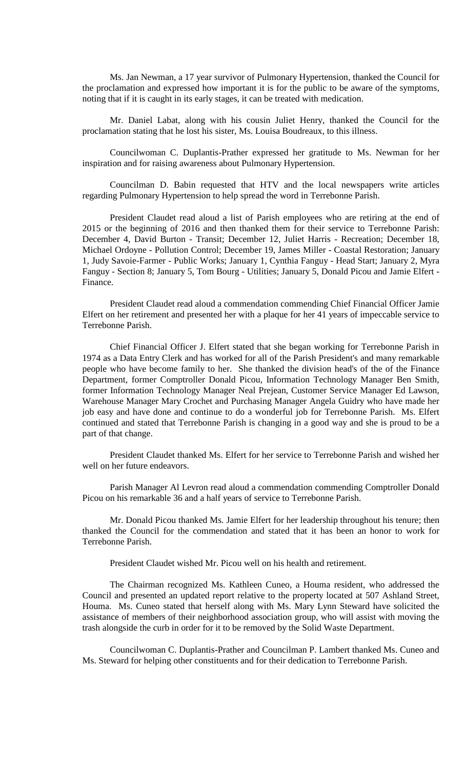Ms. Jan Newman, a 17 year survivor of Pulmonary Hypertension, thanked the Council for the proclamation and expressed how important it is for the public to be aware of the symptoms, noting that if it is caught in its early stages, it can be treated with medication.

Mr. Daniel Labat, along with his cousin Juliet Henry, thanked the Council for the proclamation stating that he lost his sister, Ms. Louisa Boudreaux, to this illness.

Councilwoman C. Duplantis-Prather expressed her gratitude to Ms. Newman for her inspiration and for raising awareness about Pulmonary Hypertension.

Councilman D. Babin requested that HTV and the local newspapers write articles regarding Pulmonary Hypertension to help spread the word in Terrebonne Parish.

President Claudet read aloud a list of Parish employees who are retiring at the end of 2015 or the beginning of 2016 and then thanked them for their service to Terrebonne Parish: December 4, David Burton - Transit; December 12, Juliet Harris - Recreation; December 18, Michael Ordoyne - Pollution Control; December 19, James Miller - Coastal Restoration; January 1, Judy Savoie-Farmer - Public Works; January 1, Cynthia Fanguy - Head Start; January 2, Myra Fanguy - Section 8; January 5, Tom Bourg - Utilities; January 5, Donald Picou and Jamie Elfert - Finance.

President Claudet read aloud a commendation commending Chief Financial Officer Jamie Elfert on her retirement and presented her with a plaque for her 41 years of impeccable service to Terrebonne Parish.

Chief Financial Officer J. Elfert stated that she began working for Terrebonne Parish in 1974 as a Data Entry Clerk and has worked for all of the Parish President's and many remarkable people who have become family to her. She thanked the division head's of the of the Finance Department, former Comptroller Donald Picou, Information Technology Manager Ben Smith, former Information Technology Manager Neal Prejean, Customer Service Manager Ed Lawson, Warehouse Manager Mary Crochet and Purchasing Manager Angela Guidry who have made her job easy and have done and continue to do a wonderful job for Terrebonne Parish. Ms. Elfert continued and stated that Terrebonne Parish is changing in a good way and she is proud to be a part of that change.

President Claudet thanked Ms. Elfert for her service to Terrebonne Parish and wished her well on her future endeavors.

Parish Manager Al Levron read aloud a commendation commending Comptroller Donald Picou on his remarkable 36 and a half years of service to Terrebonne Parish.

Mr. Donald Picou thanked Ms. Jamie Elfert for her leadership throughout his tenure; then thanked the Council for the commendation and stated that it has been an honor to work for Terrebonne Parish.

President Claudet wished Mr. Picou well on his health and retirement.

The Chairman recognized Ms. Kathleen Cuneo, a Houma resident, who addressed the Council and presented an updated report relative to the property located at 507 Ashland Street, Houma. Ms. Cuneo stated that herself along with Ms. Mary Lynn Steward have solicited the assistance of members of their neighborhood association group, who will assist with moving the trash alongside the curb in order for it to be removed by the Solid Waste Department.

Councilwoman C. Duplantis-Prather and Councilman P. Lambert thanked Ms. Cuneo and Ms. Steward for helping other constituents and for their dedication to Terrebonne Parish.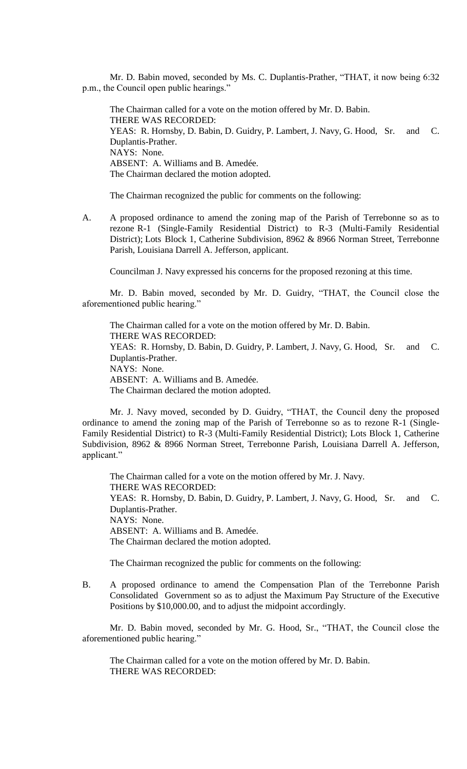Mr. D. Babin moved, seconded by Ms. C. Duplantis-Prather, "THAT, it now being 6:32 p.m., the Council open public hearings."

The Chairman called for a vote on the motion offered by Mr. D. Babin. THERE WAS RECORDED: YEAS: R. Hornsby, D. Babin, D. Guidry, P. Lambert, J. Navy, G. Hood, Sr. and C. Duplantis-Prather. NAYS: None. ABSENT: A. Williams and B. Amedée. The Chairman declared the motion adopted.

The Chairman recognized the public for comments on the following:

A. A proposed ordinance to amend the zoning map of the Parish of Terrebonne so as to rezone R-1 (Single-Family Residential District) to R-3 (Multi-Family Residential District); Lots Block 1, Catherine Subdivision, 8962 & 8966 Norman Street, Terrebonne Parish, Louisiana Darrell A. Jefferson, applicant.

Councilman J. Navy expressed his concerns for the proposed rezoning at this time.

Mr. D. Babin moved, seconded by Mr. D. Guidry, "THAT, the Council close the aforementioned public hearing."

The Chairman called for a vote on the motion offered by Mr. D. Babin. THERE WAS RECORDED: YEAS: R. Hornsby, D. Babin, D. Guidry, P. Lambert, J. Navy, G. Hood, Sr. and C. Duplantis-Prather. NAYS: None. ABSENT: A. Williams and B. Amedée. The Chairman declared the motion adopted.

Mr. J. Navy moved, seconded by D. Guidry, "THAT, the Council deny the proposed ordinance to amend the zoning map of the Parish of Terrebonne so as to rezone R-1 (Single-Family Residential District) to R-3 (Multi-Family Residential District); Lots Block 1, Catherine Subdivision, 8962 & 8966 Norman Street, Terrebonne Parish, Louisiana Darrell A. Jefferson, applicant."

The Chairman called for a vote on the motion offered by Mr. J. Navy. THERE WAS RECORDED: YEAS: R. Hornsby, D. Babin, D. Guidry, P. Lambert, J. Navy, G. Hood, Sr. and C. Duplantis-Prather. NAYS: None. ABSENT: A. Williams and B. Amedée. The Chairman declared the motion adopted.

The Chairman recognized the public for comments on the following:

B. A proposed ordinance to amend the Compensation Plan of the Terrebonne Parish Consolidated Government so as to adjust the Maximum Pay Structure of the Executive Positions by \$10,000.00, and to adjust the midpoint accordingly.

Mr. D. Babin moved, seconded by Mr. G. Hood, Sr., "THAT, the Council close the aforementioned public hearing."

The Chairman called for a vote on the motion offered by Mr. D. Babin. THERE WAS RECORDED: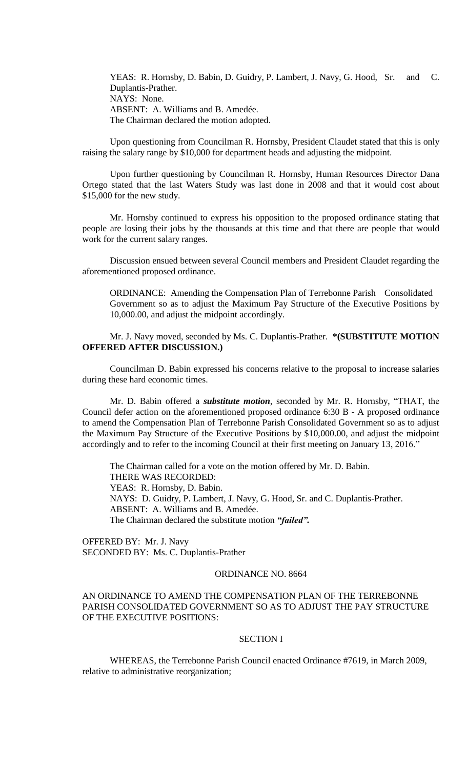YEAS: R. Hornsby, D. Babin, D. Guidry, P. Lambert, J. Navy, G. Hood, Sr. and C. Duplantis-Prather. NAYS: None. ABSENT: A. Williams and B. Amedée. The Chairman declared the motion adopted.

Upon questioning from Councilman R. Hornsby, President Claudet stated that this is only raising the salary range by \$10,000 for department heads and adjusting the midpoint.

Upon further questioning by Councilman R. Hornsby, Human Resources Director Dana Ortego stated that the last Waters Study was last done in 2008 and that it would cost about \$15,000 for the new study.

Mr. Hornsby continued to express his opposition to the proposed ordinance stating that people are losing their jobs by the thousands at this time and that there are people that would work for the current salary ranges.

Discussion ensued between several Council members and President Claudet regarding the aforementioned proposed ordinance.

ORDINANCE: Amending the Compensation Plan of Terrebonne Parish Consolidated Government so as to adjust the Maximum Pay Structure of the Executive Positions by 10,000.00, and adjust the midpoint accordingly.

Mr. J. Navy moved, seconded by Ms. C. Duplantis-Prather. **\*(SUBSTITUTE MOTION OFFERED AFTER DISCUSSION.)**

Councilman D. Babin expressed his concerns relative to the proposal to increase salaries during these hard economic times.

Mr. D. Babin offered a *substitute motion*, seconded by Mr. R. Hornsby, "THAT, the Council defer action on the aforementioned proposed ordinance 6:30 B - A proposed ordinance to amend the Compensation Plan of Terrebonne Parish Consolidated Government so as to adjust the Maximum Pay Structure of the Executive Positions by \$10,000.00, and adjust the midpoint accordingly and to refer to the incoming Council at their first meeting on January 13, 2016."

The Chairman called for a vote on the motion offered by Mr. D. Babin. THERE WAS RECORDED: YEAS: R. Hornsby, D. Babin. NAYS: D. Guidry, P. Lambert, J. Navy, G. Hood, Sr. and C. Duplantis-Prather. ABSENT: A. Williams and B. Amedée. The Chairman declared the substitute motion *"failed".*

OFFERED BY: Mr. J. Navy SECONDED BY: Ms. C. Duplantis-Prather

# ORDINANCE NO. 8664

# AN ORDINANCE TO AMEND THE COMPENSATION PLAN OF THE TERREBONNE PARISH CONSOLIDATED GOVERNMENT SO AS TO ADJUST THE PAY STRUCTURE OF THE EXECUTIVE POSITIONS:

# SECTION I

WHEREAS, the Terrebonne Parish Council enacted Ordinance #7619, in March 2009, relative to administrative reorganization;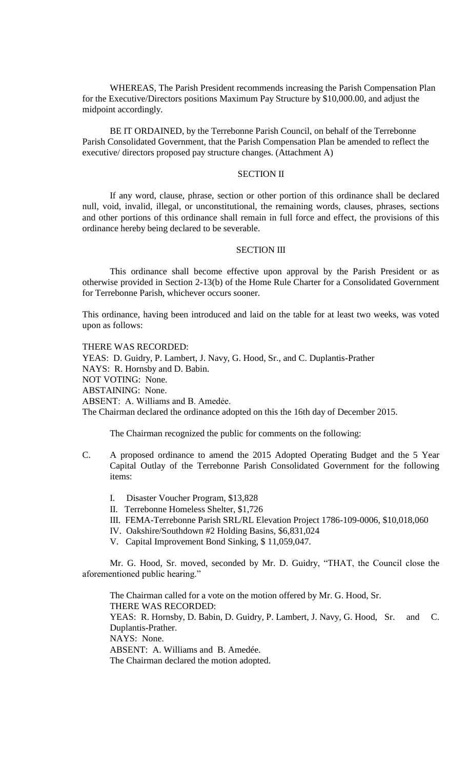WHEREAS, The Parish President recommends increasing the Parish Compensation Plan for the Executive/Directors positions Maximum Pay Structure by \$10,000.00, and adjust the midpoint accordingly.

BE IT ORDAINED, by the Terrebonne Parish Council, on behalf of the Terrebonne Parish Consolidated Government, that the Parish Compensation Plan be amended to reflect the executive/ directors proposed pay structure changes. (Attachment A)

## SECTION II

If any word, clause, phrase, section or other portion of this ordinance shall be declared null, void, invalid, illegal, or unconstitutional, the remaining words, clauses, phrases, sections and other portions of this ordinance shall remain in full force and effect, the provisions of this ordinance hereby being declared to be severable.

# SECTION III

This ordinance shall become effective upon approval by the Parish President or as otherwise provided in Section 2-13(b) of the Home Rule Charter for a Consolidated Government for Terrebonne Parish, whichever occurs sooner.

This ordinance, having been introduced and laid on the table for at least two weeks, was voted upon as follows:

THERE WAS RECORDED:

YEAS: D. Guidry, P. Lambert, J. Navy, G. Hood, Sr., and C. Duplantis-Prather NAYS: R. Hornsby and D. Babin. NOT VOTING: None. ABSTAINING: None. ABSENT: A. Williams and B. Amedée. The Chairman declared the ordinance adopted on this the 16th day of December 2015.

The Chairman recognized the public for comments on the following:

- C. A proposed ordinance to amend the 2015 Adopted Operating Budget and the 5 Year Capital Outlay of the Terrebonne Parish Consolidated Government for the following items:
	- I. Disaster Voucher Program, \$13,828
	- II. Terrebonne Homeless Shelter, \$1,726
	- III. FEMA-Terrebonne Parish SRL/RL Elevation Project 1786-109-0006, \$10,018,060
	- IV. Oakshire/Southdown #2 Holding Basins, \$6,831,024
	- V. Capital Improvement Bond Sinking, \$ 11,059,047.

Mr. G. Hood, Sr. moved, seconded by Mr. D. Guidry, "THAT, the Council close the aforementioned public hearing."

The Chairman called for a vote on the motion offered by Mr. G. Hood, Sr. THERE WAS RECORDED: YEAS: R. Hornsby, D. Babin, D. Guidry, P. Lambert, J. Navy, G. Hood, Sr. and C. Duplantis-Prather. NAYS: None. ABSENT: A. Williams and B. Amedée. The Chairman declared the motion adopted.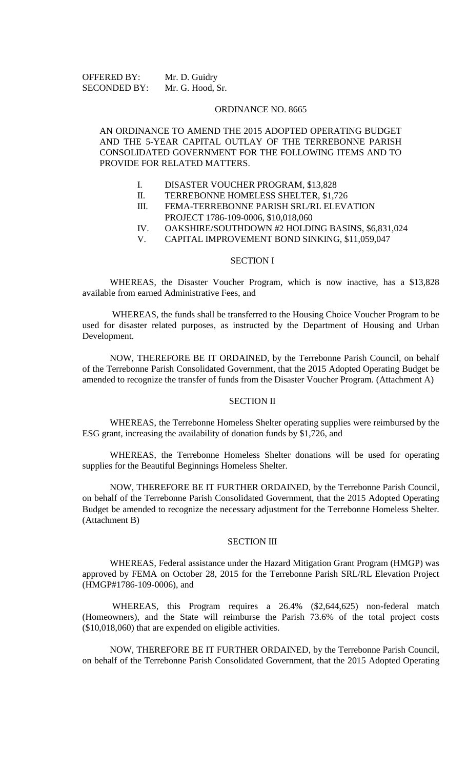OFFERED BY: Mr. D. Guidry SECONDED BY: Mr. G. Hood, Sr.

### ORDINANCE NO. 8665

# AN ORDINANCE TO AMEND THE 2015 ADOPTED OPERATING BUDGET AND THE 5-YEAR CAPITAL OUTLAY OF THE TERREBONNE PARISH CONSOLIDATED GOVERNMENT FOR THE FOLLOWING ITEMS AND TO PROVIDE FOR RELATED MATTERS.

- I. DISASTER VOUCHER PROGRAM, \$13,828
- II. TERREBONNE HOMELESS SHELTER, \$1,726<br>III. FEMA-TERREBONNE PARISH SRL/RL ELEVA
- FEMA-TERREBONNE PARISH SRL/RL ELEVATION
	- PROJECT 1786-109-0006, \$10,018,060
- IV. OAKSHIRE/SOUTHDOWN #2 HOLDING BASINS, \$6,831,024
- V. CAPITAL IMPROVEMENT BOND SINKING, \$11,059,047

#### SECTION I

WHEREAS, the Disaster Voucher Program, which is now inactive, has a \$13,828 available from earned Administrative Fees, and

WHEREAS, the funds shall be transferred to the Housing Choice Voucher Program to be used for disaster related purposes, as instructed by the Department of Housing and Urban Development.

NOW, THEREFORE BE IT ORDAINED, by the Terrebonne Parish Council, on behalf of the Terrebonne Parish Consolidated Government, that the 2015 Adopted Operating Budget be amended to recognize the transfer of funds from the Disaster Voucher Program. (Attachment A)

### SECTION II

WHEREAS, the Terrebonne Homeless Shelter operating supplies were reimbursed by the ESG grant, increasing the availability of donation funds by \$1,726, and

WHEREAS, the Terrebonne Homeless Shelter donations will be used for operating supplies for the Beautiful Beginnings Homeless Shelter.

NOW, THEREFORE BE IT FURTHER ORDAINED, by the Terrebonne Parish Council, on behalf of the Terrebonne Parish Consolidated Government, that the 2015 Adopted Operating Budget be amended to recognize the necessary adjustment for the Terrebonne Homeless Shelter. (Attachment B)

# SECTION III

WHEREAS, Federal assistance under the Hazard Mitigation Grant Program (HMGP) was approved by FEMA on October 28, 2015 for the Terrebonne Parish SRL/RL Elevation Project (HMGP#1786-109-0006), and

WHEREAS, this Program requires a 26.4% (\$2,644,625) non-federal match (Homeowners), and the State will reimburse the Parish 73.6% of the total project costs (\$10,018,060) that are expended on eligible activities.

NOW, THEREFORE BE IT FURTHER ORDAINED, by the Terrebonne Parish Council, on behalf of the Terrebonne Parish Consolidated Government, that the 2015 Adopted Operating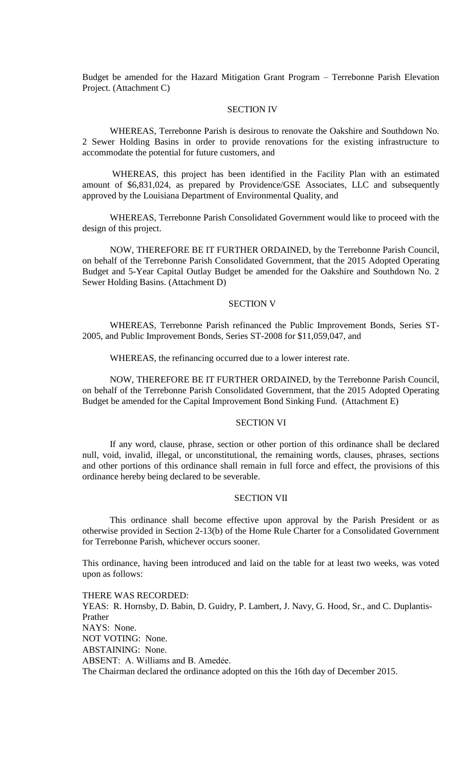Budget be amended for the Hazard Mitigation Grant Program – Terrebonne Parish Elevation Project. (Attachment C)

## SECTION IV

WHEREAS, Terrebonne Parish is desirous to renovate the Oakshire and Southdown No. 2 Sewer Holding Basins in order to provide renovations for the existing infrastructure to accommodate the potential for future customers, and

WHEREAS, this project has been identified in the Facility Plan with an estimated amount of \$6,831,024, as prepared by Providence/GSE Associates, LLC and subsequently approved by the Louisiana Department of Environmental Quality, and

WHEREAS, Terrebonne Parish Consolidated Government would like to proceed with the design of this project.

NOW, THEREFORE BE IT FURTHER ORDAINED, by the Terrebonne Parish Council, on behalf of the Terrebonne Parish Consolidated Government, that the 2015 Adopted Operating Budget and 5-Year Capital Outlay Budget be amended for the Oakshire and Southdown No. 2 Sewer Holding Basins. (Attachment D)

### SECTION V

WHEREAS, Terrebonne Parish refinanced the Public Improvement Bonds, Series ST-2005, and Public Improvement Bonds, Series ST-2008 for \$11,059,047, and

WHEREAS, the refinancing occurred due to a lower interest rate.

NOW, THEREFORE BE IT FURTHER ORDAINED, by the Terrebonne Parish Council, on behalf of the Terrebonne Parish Consolidated Government, that the 2015 Adopted Operating Budget be amended for the Capital Improvement Bond Sinking Fund. (Attachment E)

#### SECTION VI

If any word, clause, phrase, section or other portion of this ordinance shall be declared null, void, invalid, illegal, or unconstitutional, the remaining words, clauses, phrases, sections and other portions of this ordinance shall remain in full force and effect, the provisions of this ordinance hereby being declared to be severable.

### SECTION VII

This ordinance shall become effective upon approval by the Parish President or as otherwise provided in Section 2-13(b) of the Home Rule Charter for a Consolidated Government for Terrebonne Parish, whichever occurs sooner.

This ordinance, having been introduced and laid on the table for at least two weeks, was voted upon as follows:

THERE WAS RECORDED: YEAS: R. Hornsby, D. Babin, D. Guidry, P. Lambert, J. Navy, G. Hood, Sr., and C. Duplantis-Prather NAYS: None. NOT VOTING: None. ABSTAINING: None. ABSENT: A. Williams and B. Amedée. The Chairman declared the ordinance adopted on this the 16th day of December 2015.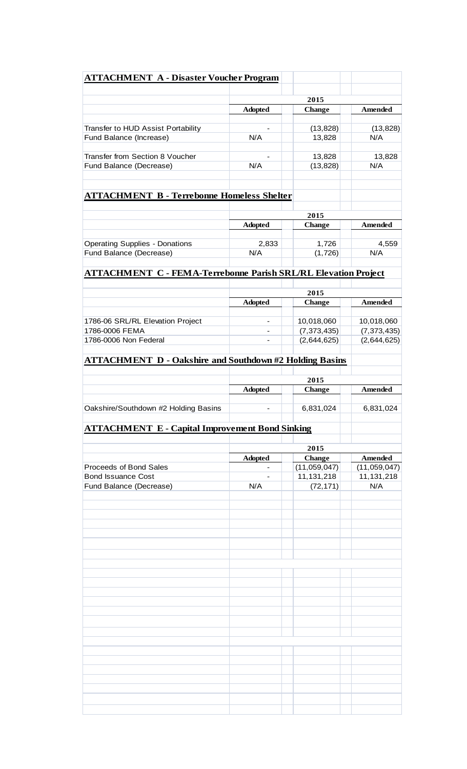| <b>ATTACHMENT A - Disaster Voucher Program</b>                        |                |                               |                                |
|-----------------------------------------------------------------------|----------------|-------------------------------|--------------------------------|
|                                                                       |                |                               |                                |
|                                                                       |                | 2015                          |                                |
|                                                                       | <b>Adopted</b> | <b>Change</b>                 | <b>Amended</b>                 |
|                                                                       |                |                               |                                |
| Transfer to HUD Assist Portability<br>Fund Balance (Increase)         | N/A            | (13, 828)<br>13,828           | (13, 828)<br>N/A               |
|                                                                       |                |                               |                                |
| Transfer from Section 8 Voucher                                       |                | 13,828                        | 13,828                         |
| Fund Balance (Decrease)                                               | N/A            | (13, 828)                     | N/A                            |
|                                                                       |                |                               |                                |
| <b>ATTACHMENT B - Terrebonne Homeless Shelter</b>                     |                |                               |                                |
|                                                                       | 2015           |                               |                                |
|                                                                       | <b>Adopted</b> | Change                        | <b>Amended</b>                 |
|                                                                       |                |                               |                                |
| <b>Operating Supplies - Donations</b>                                 | 2,833          | 1,726                         | 4,559                          |
| Fund Balance (Decrease)                                               | N/A            | (1,726)                       | N/A                            |
|                                                                       |                |                               |                                |
| <b>ATTACHMENT C - FEMA-Terrebonne Parish SRL/RL Elevation Project</b> |                |                               |                                |
|                                                                       | 2015           |                               |                                |
|                                                                       | <b>Adopted</b> | <b>Change</b>                 | <b>Amended</b>                 |
|                                                                       |                |                               |                                |
| 1786-06 SRL/RL Elevation Project                                      |                | 10,018,060                    | 10,018,060                     |
| 1786-0006 FEMA                                                        |                | (7, 373, 435)                 | (7, 373, 435)                  |
| 1786-0006 Non Federal                                                 |                | (2,644,625)                   | (2,644,625)                    |
| <b>ATTACHMENT D - Oakshire and Southdown #2 Holding Basins</b>        |                |                               |                                |
|                                                                       |                |                               |                                |
|                                                                       |                | 2015                          |                                |
|                                                                       | <b>Adopted</b> | Change                        | <b>Amended</b>                 |
| Oakshire/Southdown #2 Holding Basins                                  |                | 6,831,024                     | 6,831,024                      |
| <b>ATTACHMENT E - Capital Improvement Bond Sinking</b>                |                |                               |                                |
|                                                                       |                |                               |                                |
|                                                                       |                | 2015                          |                                |
| Proceeds of Bond Sales                                                | <b>Adopted</b> | <b>Change</b><br>(11,059,047) | <b>Amended</b><br>(11,059,047) |
| <b>Bond Issuance Cost</b>                                             |                | 11,131,218                    | 11, 131, 218                   |
| Fund Balance (Decrease)                                               | N/A            | (72, 171)                     | N/A                            |
|                                                                       |                |                               |                                |
|                                                                       |                |                               |                                |
|                                                                       |                |                               |                                |
|                                                                       |                |                               |                                |
|                                                                       |                |                               |                                |
|                                                                       |                |                               |                                |
|                                                                       |                |                               |                                |
|                                                                       |                |                               |                                |
|                                                                       |                |                               |                                |
|                                                                       |                |                               |                                |
|                                                                       |                |                               |                                |
|                                                                       |                |                               |                                |
|                                                                       |                |                               |                                |
|                                                                       |                |                               |                                |
|                                                                       |                |                               |                                |
|                                                                       |                |                               |                                |
|                                                                       |                |                               |                                |
|                                                                       |                |                               |                                |
|                                                                       |                |                               |                                |
|                                                                       |                |                               |                                |
|                                                                       |                |                               |                                |
|                                                                       |                |                               |                                |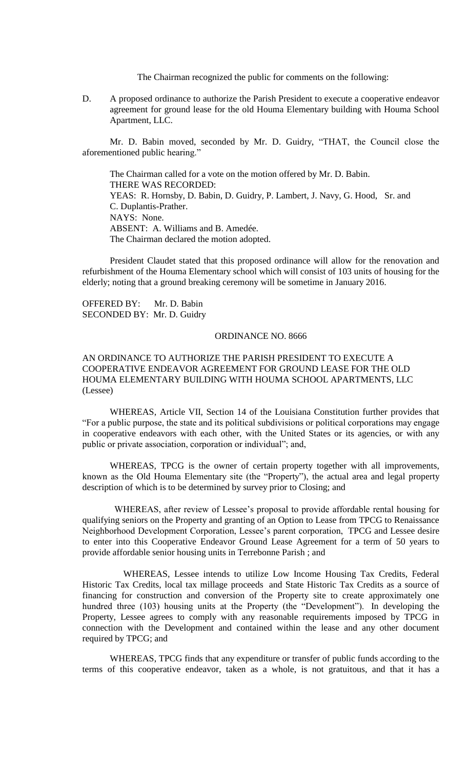The Chairman recognized the public for comments on the following:

D. A proposed ordinance to authorize the Parish President to execute a cooperative endeavor agreement for ground lease for the old Houma Elementary building with Houma School Apartment, LLC.

Mr. D. Babin moved, seconded by Mr. D. Guidry, "THAT, the Council close the aforementioned public hearing."

The Chairman called for a vote on the motion offered by Mr. D. Babin. THERE WAS RECORDED: YEAS: R. Hornsby, D. Babin, D. Guidry, P. Lambert, J. Navy, G. Hood, Sr. and C. Duplantis-Prather. NAYS: None. ABSENT: A. Williams and B. Amedée. The Chairman declared the motion adopted.

President Claudet stated that this proposed ordinance will allow for the renovation and refurbishment of the Houma Elementary school which will consist of 103 units of housing for the elderly; noting that a ground breaking ceremony will be sometime in January 2016.

OFFERED BY: Mr. D. Babin SECONDED BY: Mr. D. Guidry

## ORDINANCE NO. 8666

# AN ORDINANCE TO AUTHORIZE THE PARISH PRESIDENT TO EXECUTE A COOPERATIVE ENDEAVOR AGREEMENT FOR GROUND LEASE FOR THE OLD HOUMA ELEMENTARY BUILDING WITH HOUMA SCHOOL APARTMENTS, LLC (Lessee)

WHEREAS, Article VII, Section 14 of the Louisiana Constitution further provides that "For a public purpose, the state and its political subdivisions or political corporations may engage in cooperative endeavors with each other, with the United States or its agencies, or with any public or private association, corporation or individual"; and,

WHEREAS, TPCG is the owner of certain property together with all improvements, known as the Old Houma Elementary site (the "Property"), the actual area and legal property description of which is to be determined by survey prior to Closing; and

 WHEREAS, after review of Lessee's proposal to provide affordable rental housing for qualifying seniors on the Property and granting of an Option to Lease from TPCG to Renaissance Neighborhood Development Corporation, Lessee's parent corporation, TPCG and Lessee desire to enter into this Cooperative Endeavor Ground Lease Agreement for a term of 50 years to provide affordable senior housing units in Terrebonne Parish ; and

 WHEREAS, Lessee intends to utilize Low Income Housing Tax Credits, Federal Historic Tax Credits, local tax millage proceeds and State Historic Tax Credits as a source of financing for construction and conversion of the Property site to create approximately one hundred three (103) housing units at the Property (the "Development"). In developing the Property, Lessee agrees to comply with any reasonable requirements imposed by TPCG in connection with the Development and contained within the lease and any other document required by TPCG; and

WHEREAS, TPCG finds that any expenditure or transfer of public funds according to the terms of this cooperative endeavor, taken as a whole, is not gratuitous, and that it has a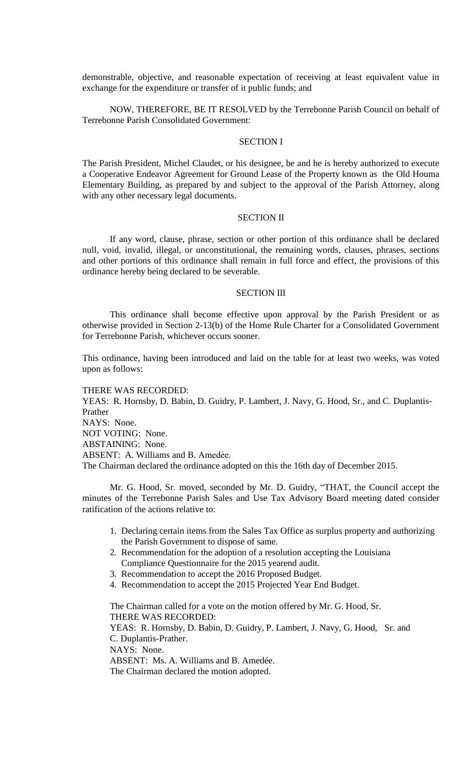demonstrable, objective, and reasonable expectation of receiving at least equivalent value in exchange for the expenditure or transfer of it public funds; and

NOW, THEREFORE, BE IT RESOLVED by the Terrebonne Parish Council on behalf of Terrebonne Parish Consolidated Government:

## SECTION I

The Parish President, Michel Claudet, or his designee, be and he is hereby authorized to execute a Cooperative Endeavor Agreement for Ground Lease of the Property known as the Old Houma Elementary Building, as prepared by and subject to the approval of the Parish Attorney, along with any other necessary legal documents.

## SECTION II

If any word, clause, phrase, section or other portion of this ordinance shall be declared null, void, invalid, illegal, or unconstitutional, the remaining words, clauses, phrases, sections and other portions of this ordinance shall remain in full force and effect, the provisions of this ordinance hereby being declared to be severable.

#### SECTION III

This ordinance shall become effective upon approval by the Parish President or as otherwise provided in Section 2-13(b) of the Home Rule Charter for a Consolidated Government for Terrebonne Parish, whichever occurs sooner.

This ordinance, having been introduced and laid on the table for at least two weeks, was voted upon as follows:

THERE WAS RECORDED: YEAS: R. Hornsby, D. Babin, D. Guidry, P. Lambert, J. Navy, G. Hood, Sr., and C. Duplantis-Prather NAYS: None. NOT VOTING: None. ABSTAINING: None. ABSENT: A. Williams and B. Amedée. The Chairman declared the ordinance adopted on this the 16th day of December 2015.

Mr. G. Hood, Sr. moved, seconded by Mr. D. Guidry, "THAT, the Council accept the minutes of the Terrebonne Parish Sales and Use Tax Advisory Board meeting dated consider ratification of the actions relative to:

- 1. Declaring certain items from the Sales Tax Office as surplus property and authorizing the Parish Government to dispose of same.
- 2. Recommendation for the adoption of a resolution accepting the Louisiana Compliance Questionnaire for the 2015 yearend audit.
- 3. Recommendation to accept the 2016 Proposed Budget.
- 4. Recommendation to accept the 2015 Projected Year End Budget.

The Chairman called for a vote on the motion offered by Mr. G. Hood, Sr. THERE WAS RECORDED:

YEAS: R. Hornsby, D. Babin, D. Guidry, P. Lambert, J. Navy, G. Hood, Sr. and C. Duplantis-Prather. NAYS: None.

ABSENT: Ms. A. Williams and B. Amedée.

The Chairman declared the motion adopted.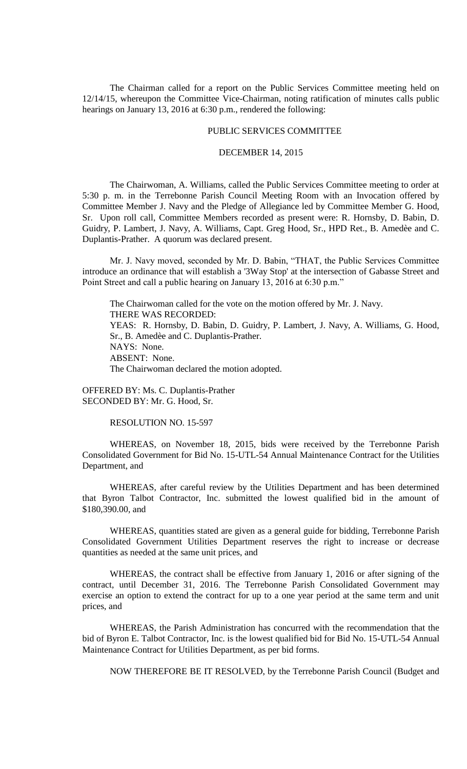The Chairman called for a report on the Public Services Committee meeting held on 12/14/15, whereupon the Committee Vice-Chairman, noting ratification of minutes calls public hearings on January 13, 2016 at 6:30 p.m., rendered the following:

## PUBLIC SERVICES COMMITTEE

## DECEMBER 14, 2015

The Chairwoman, A. Williams, called the Public Services Committee meeting to order at 5:30 p. m. in the Terrebonne Parish Council Meeting Room with an Invocation offered by Committee Member J. Navy and the Pledge of Allegiance led by Committee Member G. Hood, Sr. Upon roll call, Committee Members recorded as present were: R. Hornsby, D. Babin, D. Guidry, P. Lambert, J. Navy, A. Williams, Capt. Greg Hood, Sr., HPD Ret., B. Amedèe and C. Duplantis-Prather. A quorum was declared present.

Mr. J. Navy moved, seconded by Mr. D. Babin, "THAT, the Public Services Committee introduce an ordinance that will establish a '3Way Stop' at the intersection of Gabasse Street and Point Street and call a public hearing on January 13, 2016 at 6:30 p.m."

The Chairwoman called for the vote on the motion offered by Mr. J. Navy. THERE WAS RECORDED: YEAS: R. Hornsby, D. Babin, D. Guidry, P. Lambert, J. Navy, A. Williams, G. Hood, Sr., B. Amedèe and C. Duplantis-Prather. NAYS: None. ABSENT: None. The Chairwoman declared the motion adopted.

OFFERED BY: Ms. C. Duplantis-Prather SECONDED BY: Mr. G. Hood, Sr.

RESOLUTION NO. 15-597

WHEREAS, on November 18, 2015, bids were received by the Terrebonne Parish Consolidated Government for Bid No. 15-UTL-54 Annual Maintenance Contract for the Utilities Department, and

WHEREAS, after careful review by the Utilities Department and has been determined that Byron Talbot Contractor, Inc. submitted the lowest qualified bid in the amount of \$180,390.00, and

WHEREAS, quantities stated are given as a general guide for bidding, Terrebonne Parish Consolidated Government Utilities Department reserves the right to increase or decrease quantities as needed at the same unit prices, and

WHEREAS, the contract shall be effective from January 1, 2016 or after signing of the contract, until December 31, 2016. The Terrebonne Parish Consolidated Government may exercise an option to extend the contract for up to a one year period at the same term and unit prices, and

WHEREAS, the Parish Administration has concurred with the recommendation that the bid of Byron E. Talbot Contractor, Inc. is the lowest qualified bid for Bid No. 15-UTL-54 Annual Maintenance Contract for Utilities Department, as per bid forms.

NOW THEREFORE BE IT RESOLVED, by the Terrebonne Parish Council (Budget and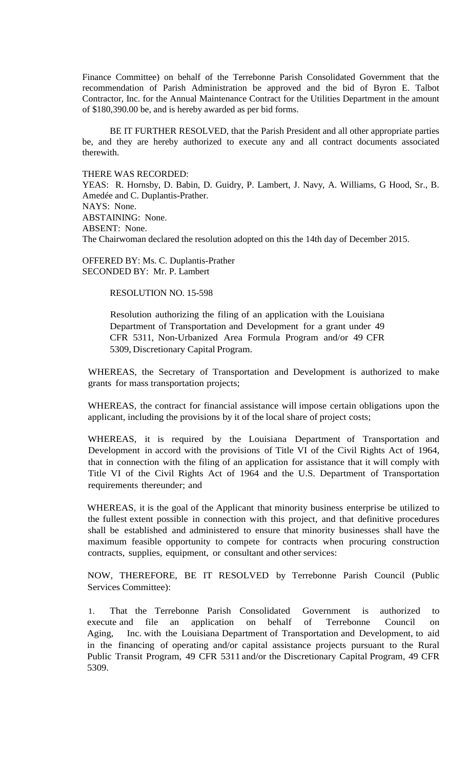Finance Committee) on behalf of the Terrebonne Parish Consolidated Government that the recommendation of Parish Administration be approved and the bid of Byron E. Talbot Contractor, Inc. for the Annual Maintenance Contract for the Utilities Department in the amount of \$180,390.00 be, and is hereby awarded as per bid forms.

BE IT FURTHER RESOLVED, that the Parish President and all other appropriate parties be, and they are hereby authorized to execute any and all contract documents associated therewith.

THERE WAS RECORDED:

YEAS: R. Hornsby, D. Babin, D. Guidry, P. Lambert, J. Navy, A. Williams, G Hood, Sr., B. Amedée and C. Duplantis-Prather. NAYS: None. ABSTAINING: None. ABSENT: None. The Chairwoman declared the resolution adopted on this the 14th day of December 2015.

OFFERED BY: Ms. C. Duplantis-Prather SECONDED BY: Mr. P. Lambert

RESOLUTION NO. 15-598

Resolution authorizing the filing of an application with the Louisiana Department of Transportation and Development for a grant under 49 CFR 5311, Non-Urbanized Area Formula Program and/or 49 CFR 5309, Discretionary Capital Program.

WHEREAS, the Secretary of Transportation and Development is authorized to make grants for mass transportation projects;

WHEREAS, the contract for financial assistance will impose certain obligations upon the applicant, including the provisions by it of the local share of project costs;

WHEREAS, it is required by the Louisiana Department of Transportation and Development in accord with the provisions of Title VI of the Civil Rights Act of 1964, that in connection with the filing of an application for assistance that it will comply with Title VI of the Civil Rights Act of 1964 and the U.S. Department of Transportation requirements thereunder; and

WHEREAS, it is the goal of the Applicant that minority business enterprise be utilized to the fullest extent possible in connection with this project, and that definitive procedures shall be established and administered to ensure that minority businesses shall have the maximum feasible opportunity to compete for contracts when procuring construction contracts, supplies, equipment, or consultant and other services:

NOW, THEREFORE, BE IT RESOLVED by Terrebonne Parish Council (Public Services Committee):

1. That the Terrebonne Parish Consolidated Government is authorized to execute and file an application on behalf of Terrebonne Council on Aging, Inc. with the Louisiana Department of Transportation and Development, to aid in the financing of operating and/or capital assistance projects pursuant to the Rural Public Transit Program, 49 CFR 5311 and/or the Discretionary Capital Program, 49 CFR 5309.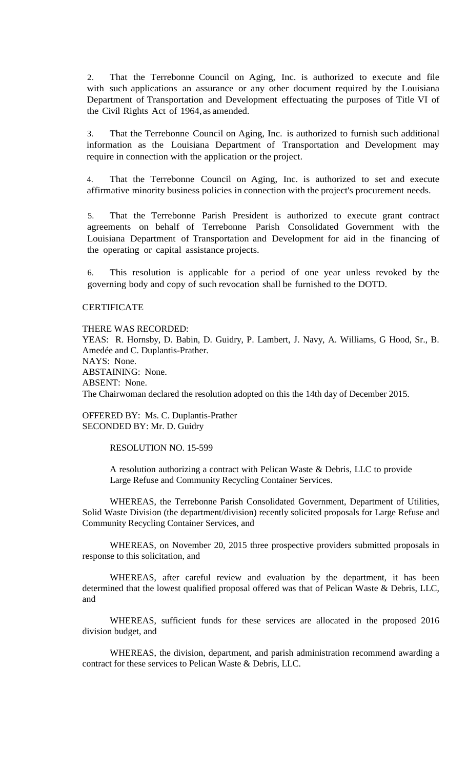2. That the Terrebonne Council on Aging, Inc. is authorized to execute and file with such applications an assurance or any other document required by the Louisiana Department of Transportation and Development effectuating the purposes of Title VI of the Civil Rights Act of 1964, as amended.

3. That the Terrebonne Council on Aging, Inc. is authorized to furnish such additional information as the Louisiana Department of Transportation and Development may require in connection with the application or the project.

4. That the Terrebonne Council on Aging, Inc. is authorized to set and execute affirmative minority business policies in connection with the project's procurement needs.

5. That the Terrebonne Parish President is authorized to execute grant contract agreements on behalf of Terrebonne Parish Consolidated Government with the Louisiana Department of Transportation and Development for aid in the financing of the operating or capital assistance projects.

6. This resolution is applicable for a period of one year unless revoked by the governing body and copy of such revocation shall be furnished to the DOTD.

# **CERTIFICATE**

THERE WAS RECORDED:

YEAS: R. Hornsby, D. Babin, D. Guidry, P. Lambert, J. Navy, A. Williams, G Hood, Sr., B. Amedée and C. Duplantis-Prather. NAYS: None. ABSTAINING: None. ABSENT: None. The Chairwoman declared the resolution adopted on this the 14th day of December 2015.

OFFERED BY: Ms. C. Duplantis-Prather SECONDED BY: Mr. D. Guidry

RESOLUTION NO. 15-599

A resolution authorizing a contract with Pelican Waste & Debris, LLC to provide Large Refuse and Community Recycling Container Services.

WHEREAS, the Terrebonne Parish Consolidated Government, Department of Utilities, Solid Waste Division (the department/division) recently solicited proposals for Large Refuse and Community Recycling Container Services, and

WHEREAS, on November 20, 2015 three prospective providers submitted proposals in response to this solicitation, and

WHEREAS, after careful review and evaluation by the department, it has been determined that the lowest qualified proposal offered was that of Pelican Waste & Debris, LLC, and

WHEREAS, sufficient funds for these services are allocated in the proposed 2016 division budget, and

WHEREAS, the division, department, and parish administration recommend awarding a contract for these services to Pelican Waste & Debris, LLC.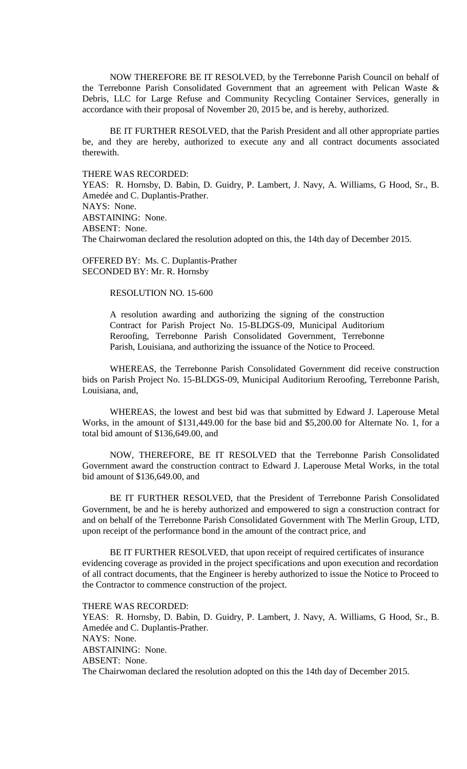NOW THEREFORE BE IT RESOLVED, by the Terrebonne Parish Council on behalf of the Terrebonne Parish Consolidated Government that an agreement with Pelican Waste & Debris, LLC for Large Refuse and Community Recycling Container Services, generally in accordance with their proposal of November 20, 2015 be, and is hereby, authorized.

BE IT FURTHER RESOLVED, that the Parish President and all other appropriate parties be, and they are hereby, authorized to execute any and all contract documents associated therewith.

## THERE WAS RECORDED:

YEAS: R. Hornsby, D. Babin, D. Guidry, P. Lambert, J. Navy, A. Williams, G Hood, Sr., B. Amedée and C. Duplantis-Prather. NAYS: None. ABSTAINING: None. ABSENT: None. The Chairwoman declared the resolution adopted on this, the 14th day of December 2015.

OFFERED BY: Ms. C. Duplantis-Prather SECONDED BY: Mr. R. Hornsby

## RESOLUTION NO. 15-600

A resolution awarding and authorizing the signing of the construction Contract for Parish Project No. 15-BLDGS-09, Municipal Auditorium Reroofing, Terrebonne Parish Consolidated Government, Terrebonne Parish, Louisiana, and authorizing the issuance of the Notice to Proceed.

WHEREAS, the Terrebonne Parish Consolidated Government did receive construction bids on Parish Project No. 15-BLDGS-09, Municipal Auditorium Reroofing, Terrebonne Parish, Louisiana, and,

WHEREAS, the lowest and best bid was that submitted by Edward J. Laperouse Metal Works, in the amount of \$131,449.00 for the base bid and \$5,200.00 for Alternate No. 1, for a total bid amount of \$136,649.00, and

NOW, THEREFORE, BE IT RESOLVED that the Terrebonne Parish Consolidated Government award the construction contract to Edward J. Laperouse Metal Works, in the total bid amount of \$136,649.00, and

BE IT FURTHER RESOLVED, that the President of Terrebonne Parish Consolidated Government, be and he is hereby authorized and empowered to sign a construction contract for and on behalf of the Terrebonne Parish Consolidated Government with The Merlin Group, LTD, upon receipt of the performance bond in the amount of the contract price, and

BE IT FURTHER RESOLVED, that upon receipt of required certificates of insurance evidencing coverage as provided in the project specifications and upon execution and recordation of all contract documents, that the Engineer is hereby authorized to issue the Notice to Proceed to the Contractor to commence construction of the project.

THERE WAS RECORDED: YEAS: R. Hornsby, D. Babin, D. Guidry, P. Lambert, J. Navy, A. Williams, G Hood, Sr., B. Amedée and C. Duplantis-Prather. NAYS: None. ABSTAINING: None. ABSENT: None. The Chairwoman declared the resolution adopted on this the 14th day of December 2015.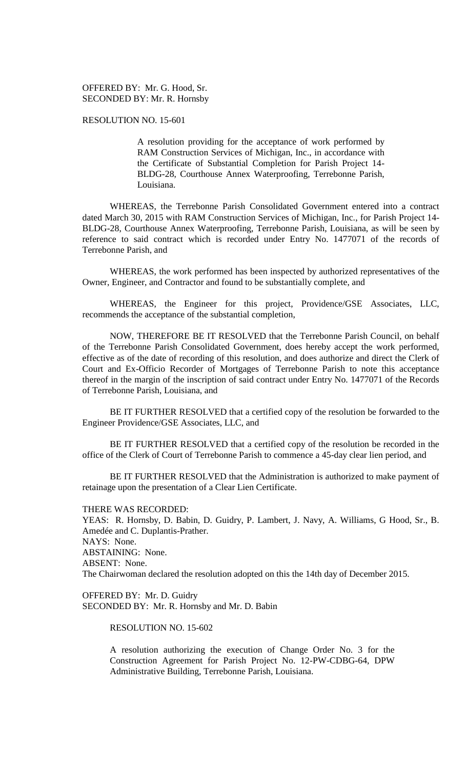## OFFERED BY: Mr. G. Hood, Sr. SECONDED BY: Mr. R. Hornsby

## RESOLUTION NO. 15-601

A resolution providing for the acceptance of work performed by RAM Construction Services of Michigan, Inc., in accordance with the Certificate of Substantial Completion for Parish Project 14- BLDG-28, Courthouse Annex Waterproofing, Terrebonne Parish, Louisiana.

WHEREAS, the Terrebonne Parish Consolidated Government entered into a contract dated March 30, 2015 with RAM Construction Services of Michigan, Inc., for Parish Project 14- BLDG-28, Courthouse Annex Waterproofing, Terrebonne Parish, Louisiana, as will be seen by reference to said contract which is recorded under Entry No. 1477071 of the records of Terrebonne Parish, and

WHEREAS, the work performed has been inspected by authorized representatives of the Owner, Engineer, and Contractor and found to be substantially complete, and

WHEREAS, the Engineer for this project, Providence/GSE Associates, LLC, recommends the acceptance of the substantial completion,

NOW, THEREFORE BE IT RESOLVED that the Terrebonne Parish Council, on behalf of the Terrebonne Parish Consolidated Government, does hereby accept the work performed, effective as of the date of recording of this resolution, and does authorize and direct the Clerk of Court and Ex-Officio Recorder of Mortgages of Terrebonne Parish to note this acceptance thereof in the margin of the inscription of said contract under Entry No. 1477071 of the Records of Terrebonne Parish, Louisiana, and

BE IT FURTHER RESOLVED that a certified copy of the resolution be forwarded to the Engineer Providence/GSE Associates, LLC, and

BE IT FURTHER RESOLVED that a certified copy of the resolution be recorded in the office of the Clerk of Court of Terrebonne Parish to commence a 45-day clear lien period, and

BE IT FURTHER RESOLVED that the Administration is authorized to make payment of retainage upon the presentation of a Clear Lien Certificate.

THERE WAS RECORDED:

YEAS: R. Hornsby, D. Babin, D. Guidry, P. Lambert, J. Navy, A. Williams, G Hood, Sr., B. Amedée and C. Duplantis-Prather. NAYS: None. ABSTAINING: None. ABSENT: None. The Chairwoman declared the resolution adopted on this the 14th day of December 2015.

OFFERED BY: Mr. D. Guidry SECONDED BY: Mr. R. Hornsby and Mr. D. Babin

RESOLUTION NO. 15-602

A resolution authorizing the execution of Change Order No. 3 for the Construction Agreement for Parish Project No. 12-PW-CDBG-64, DPW Administrative Building, Terrebonne Parish, Louisiana.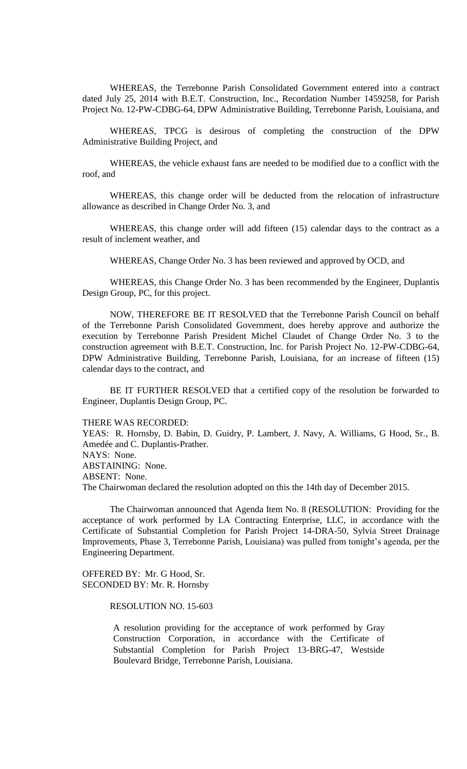WHEREAS, the Terrebonne Parish Consolidated Government entered into a contract dated July 25, 2014 with B.E.T. Construction, Inc., Recordation Number 1459258, for Parish Project No. 12-PW-CDBG-64, DPW Administrative Building, Terrebonne Parish, Louisiana, and

WHEREAS, TPCG is desirous of completing the construction of the DPW Administrative Building Project, and

WHEREAS, the vehicle exhaust fans are needed to be modified due to a conflict with the roof, and

WHEREAS, this change order will be deducted from the relocation of infrastructure allowance as described in Change Order No. 3, and

WHEREAS, this change order will add fifteen (15) calendar days to the contract as a result of inclement weather, and

WHEREAS, Change Order No. 3 has been reviewed and approved by OCD, and

WHEREAS, this Change Order No. 3 has been recommended by the Engineer, Duplantis Design Group, PC, for this project.

NOW, THEREFORE BE IT RESOLVED that the Terrebonne Parish Council on behalf of the Terrebonne Parish Consolidated Government, does hereby approve and authorize the execution by Terrebonne Parish President Michel Claudet of Change Order No. 3 to the construction agreement with B.E.T. Construction, Inc. for Parish Project No. 12-PW-CDBG-64, DPW Administrative Building, Terrebonne Parish, Louisiana, for an increase of fifteen (15) calendar days to the contract, and

BE IT FURTHER RESOLVED that a certified copy of the resolution be forwarded to Engineer, Duplantis Design Group, PC.

THERE WAS RECORDED:

YEAS: R. Hornsby, D. Babin, D. Guidry, P. Lambert, J. Navy, A. Williams, G Hood, Sr., B. Amedée and C. Duplantis-Prather.

NAYS: None.

ABSTAINING: None.

ABSENT: None.

The Chairwoman declared the resolution adopted on this the 14th day of December 2015.

The Chairwoman announced that Agenda Item No. 8 (RESOLUTION: Providing for the acceptance of work performed by LA Contracting Enterprise, LLC, in accordance with the Certificate of Substantial Completion for Parish Project 14-DRA-50, Sylvia Street Drainage Improvements, Phase 3, Terrebonne Parish, Louisiana) was pulled from tonight's agenda, per the Engineering Department.

OFFERED BY: Mr. G Hood, Sr. SECONDED BY: Mr. R. Hornsby

RESOLUTION NO. 15-603

A resolution providing for the acceptance of work performed by Gray Construction Corporation, in accordance with the Certificate of Substantial Completion for Parish Project 13-BRG-47, Westside Boulevard Bridge, Terrebonne Parish, Louisiana.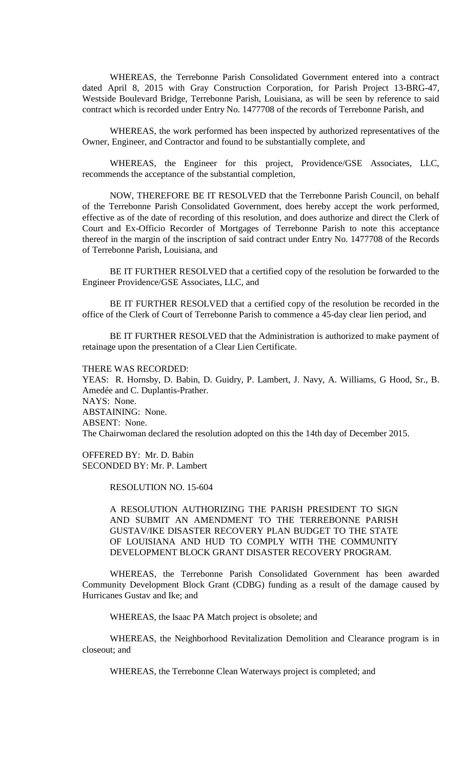WHEREAS, the Terrebonne Parish Consolidated Government entered into a contract dated April 8, 2015 with Gray Construction Corporation, for Parish Project 13-BRG-47, Westside Boulevard Bridge, Terrebonne Parish, Louisiana, as will be seen by reference to said contract which is recorded under Entry No. 1477708 of the records of Terrebonne Parish, and

WHEREAS, the work performed has been inspected by authorized representatives of the Owner, Engineer, and Contractor and found to be substantially complete, and

WHEREAS, the Engineer for this project, Providence/GSE Associates, LLC, recommends the acceptance of the substantial completion,

NOW, THEREFORE BE IT RESOLVED that the Terrebonne Parish Council, on behalf of the Terrebonne Parish Consolidated Government, does hereby accept the work performed, effective as of the date of recording of this resolution, and does authorize and direct the Clerk of Court and Ex-Officio Recorder of Mortgages of Terrebonne Parish to note this acceptance thereof in the margin of the inscription of said contract under Entry No. 1477708 of the Records of Terrebonne Parish, Louisiana, and

BE IT FURTHER RESOLVED that a certified copy of the resolution be forwarded to the Engineer Providence/GSE Associates, LLC, and

BE IT FURTHER RESOLVED that a certified copy of the resolution be recorded in the office of the Clerk of Court of Terrebonne Parish to commence a 45-day clear lien period, and

BE IT FURTHER RESOLVED that the Administration is authorized to make payment of retainage upon the presentation of a Clear Lien Certificate.

THERE WAS RECORDED:

YEAS: R. Hornsby, D. Babin, D. Guidry, P. Lambert, J. Navy, A. Williams, G Hood, Sr., B. Amedée and C. Duplantis-Prather. NAYS: None. ABSTAINING: None. ABSENT: None. The Chairwoman declared the resolution adopted on this the 14th day of December 2015.

OFFERED BY: Mr. D. Babin SECONDED BY: Mr. P. Lambert

RESOLUTION NO. 15-604

A RESOLUTION AUTHORIZING THE PARISH PRESIDENT TO SIGN AND SUBMIT AN AMENDMENT TO THE TERREBONNE PARISH GUSTAV/IKE DISASTER RECOVERY PLAN BUDGET TO THE STATE OF LOUISIANA AND HUD TO COMPLY WITH THE COMMUNITY DEVELOPMENT BLOCK GRANT DISASTER RECOVERY PROGRAM.

WHEREAS, the Terrebonne Parish Consolidated Government has been awarded Community Development Block Grant (CDBG) funding as a result of the damage caused by Hurricanes Gustav and Ike; and

WHEREAS, the Isaac PA Match project is obsolete; and

WHEREAS, the Neighborhood Revitalization Demolition and Clearance program is in closeout; and

WHEREAS, the Terrebonne Clean Waterways project is completed; and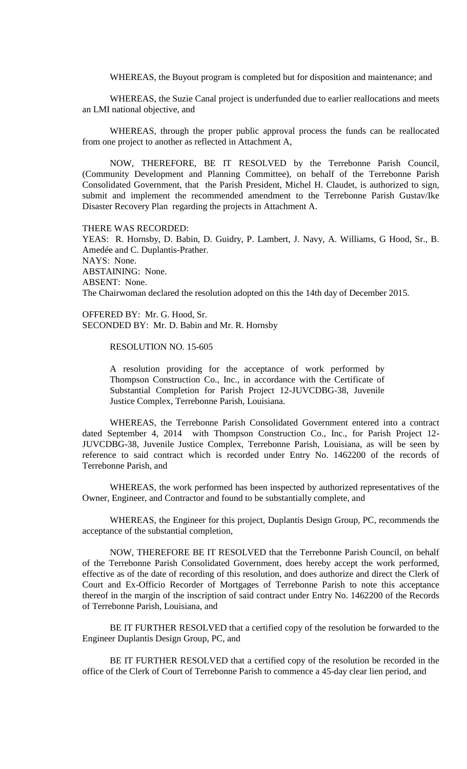WHEREAS, the Buyout program is completed but for disposition and maintenance; and

WHEREAS, the Suzie Canal project is underfunded due to earlier reallocations and meets an LMI national objective, and

WHEREAS, through the proper public approval process the funds can be reallocated from one project to another as reflected in Attachment A,

NOW, THEREFORE, BE IT RESOLVED by the Terrebonne Parish Council, (Community Development and Planning Committee), on behalf of the Terrebonne Parish Consolidated Government, that the Parish President, Michel H. Claudet, is authorized to sign, submit and implement the recommended amendment to the Terrebonne Parish Gustav/Ike Disaster Recovery Plan regarding the projects in Attachment A.

THERE WAS RECORDED:

YEAS: R. Hornsby, D. Babin, D. Guidry, P. Lambert, J. Navy, A. Williams, G Hood, Sr., B. Amedée and C. Duplantis-Prather. NAYS: None. ABSTAINING: None. ABSENT: None. The Chairwoman declared the resolution adopted on this the 14th day of December 2015.

OFFERED BY: Mr. G. Hood, Sr. SECONDED BY: Mr. D. Babin and Mr. R. Hornsby

RESOLUTION NO. 15-605

A resolution providing for the acceptance of work performed by Thompson Construction Co., Inc., in accordance with the Certificate of Substantial Completion for Parish Project 12-JUVCDBG-38, Juvenile Justice Complex, Terrebonne Parish, Louisiana.

WHEREAS, the Terrebonne Parish Consolidated Government entered into a contract dated September 4, 2014 with Thompson Construction Co., Inc., for Parish Project 12- JUVCDBG-38, Juvenile Justice Complex, Terrebonne Parish, Louisiana, as will be seen by reference to said contract which is recorded under Entry No. 1462200 of the records of Terrebonne Parish, and

WHEREAS, the work performed has been inspected by authorized representatives of the Owner, Engineer, and Contractor and found to be substantially complete, and

WHEREAS, the Engineer for this project, Duplantis Design Group, PC, recommends the acceptance of the substantial completion,

NOW, THEREFORE BE IT RESOLVED that the Terrebonne Parish Council, on behalf of the Terrebonne Parish Consolidated Government, does hereby accept the work performed, effective as of the date of recording of this resolution, and does authorize and direct the Clerk of Court and Ex-Officio Recorder of Mortgages of Terrebonne Parish to note this acceptance thereof in the margin of the inscription of said contract under Entry No. 1462200 of the Records of Terrebonne Parish, Louisiana, and

BE IT FURTHER RESOLVED that a certified copy of the resolution be forwarded to the Engineer Duplantis Design Group, PC, and

BE IT FURTHER RESOLVED that a certified copy of the resolution be recorded in the office of the Clerk of Court of Terrebonne Parish to commence a 45-day clear lien period, and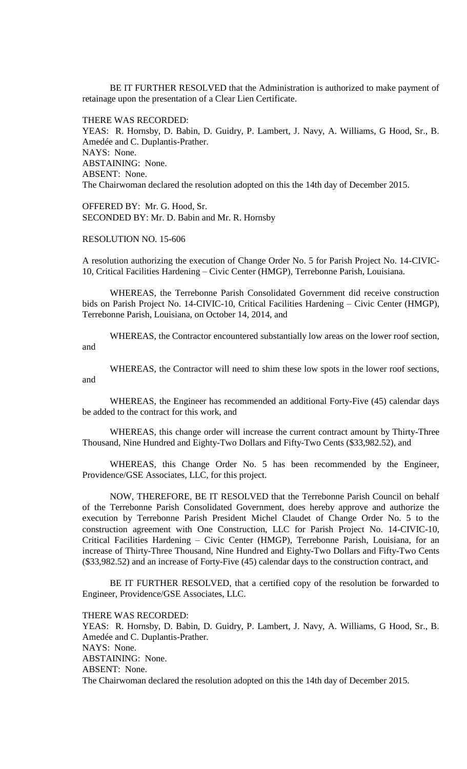BE IT FURTHER RESOLVED that the Administration is authorized to make payment of retainage upon the presentation of a Clear Lien Certificate.

THERE WAS RECORDED:

YEAS: R. Hornsby, D. Babin, D. Guidry, P. Lambert, J. Navy, A. Williams, G Hood, Sr., B. Amedée and C. Duplantis-Prather. NAYS: None. ABSTAINING: None. ABSENT: None. The Chairwoman declared the resolution adopted on this the 14th day of December 2015.

OFFERED BY: Mr. G. Hood, Sr. SECONDED BY: Mr. D. Babin and Mr. R. Hornsby

RESOLUTION NO. 15-606

A resolution authorizing the execution of Change Order No. 5 for Parish Project No. 14-CIVIC-10, Critical Facilities Hardening – Civic Center (HMGP), Terrebonne Parish, Louisiana.

WHEREAS, the Terrebonne Parish Consolidated Government did receive construction bids on Parish Project No. 14-CIVIC-10, Critical Facilities Hardening – Civic Center (HMGP), Terrebonne Parish, Louisiana, on October 14, 2014, and

WHEREAS, the Contractor encountered substantially low areas on the lower roof section, and

WHEREAS, the Contractor will need to shim these low spots in the lower roof sections, and

WHEREAS, the Engineer has recommended an additional Forty-Five (45) calendar days be added to the contract for this work, and

WHEREAS, this change order will increase the current contract amount by Thirty-Three Thousand, Nine Hundred and Eighty-Two Dollars and Fifty-Two Cents (\$33,982.52), and

WHEREAS, this Change Order No. 5 has been recommended by the Engineer, Providence/GSE Associates, LLC, for this project.

NOW, THEREFORE, BE IT RESOLVED that the Terrebonne Parish Council on behalf of the Terrebonne Parish Consolidated Government, does hereby approve and authorize the execution by Terrebonne Parish President Michel Claudet of Change Order No. 5 to the construction agreement with One Construction, LLC for Parish Project No. 14-CIVIC-10, Critical Facilities Hardening – Civic Center (HMGP), Terrebonne Parish, Louisiana, for an increase of Thirty-Three Thousand, Nine Hundred and Eighty-Two Dollars and Fifty-Two Cents (\$33,982.52) and an increase of Forty-Five (45) calendar days to the construction contract, and

BE IT FURTHER RESOLVED, that a certified copy of the resolution be forwarded to Engineer, Providence/GSE Associates, LLC.

THERE WAS RECORDED:

YEAS: R. Hornsby, D. Babin, D. Guidry, P. Lambert, J. Navy, A. Williams, G Hood, Sr., B. Amedée and C. Duplantis-Prather. NAYS: None. ABSTAINING: None. ABSENT: None. The Chairwoman declared the resolution adopted on this the 14th day of December 2015.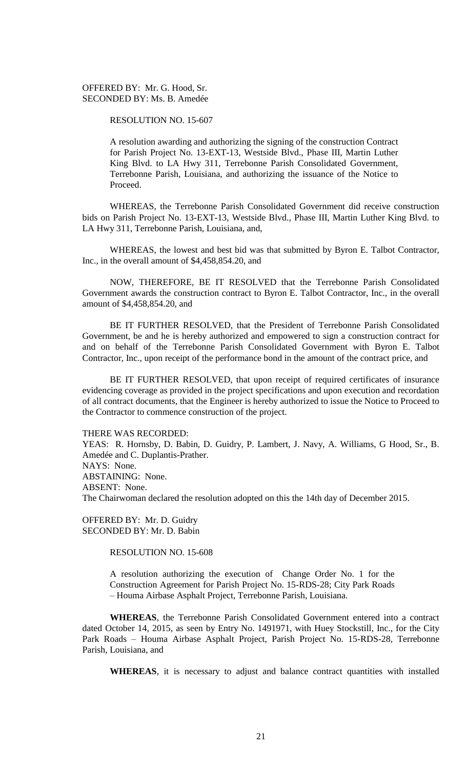# OFFERED BY: Mr. G. Hood, Sr. SECONDED BY: Ms. B. Amedée

RESOLUTION NO. 15-607

A resolution awarding and authorizing the signing of the construction Contract for Parish Project No. 13-EXT-13, Westside Blvd., Phase III, Martin Luther King Blvd. to LA Hwy 311, Terrebonne Parish Consolidated Government, Terrebonne Parish, Louisiana, and authorizing the issuance of the Notice to Proceed.

WHEREAS, the Terrebonne Parish Consolidated Government did receive construction bids on Parish Project No. 13-EXT-13, Westside Blvd., Phase III, Martin Luther King Blvd. to LA Hwy 311, Terrebonne Parish, Louisiana, and,

WHEREAS, the lowest and best bid was that submitted by Byron E. Talbot Contractor, Inc., in the overall amount of \$4,458,854.20, and

NOW, THEREFORE, BE IT RESOLVED that the Terrebonne Parish Consolidated Government awards the construction contract to Byron E. Talbot Contractor, Inc., in the overall amount of \$4,458,854.20, and

BE IT FURTHER RESOLVED, that the President of Terrebonne Parish Consolidated Government, be and he is hereby authorized and empowered to sign a construction contract for and on behalf of the Terrebonne Parish Consolidated Government with Byron E. Talbot Contractor, Inc., upon receipt of the performance bond in the amount of the contract price, and

BE IT FURTHER RESOLVED, that upon receipt of required certificates of insurance evidencing coverage as provided in the project specifications and upon execution and recordation of all contract documents, that the Engineer is hereby authorized to issue the Notice to Proceed to the Contractor to commence construction of the project.

THERE WAS RECORDED:

YEAS: R. Hornsby, D. Babin, D. Guidry, P. Lambert, J. Navy, A. Williams, G Hood, Sr., B. Amedée and C. Duplantis-Prather. NAYS: None. ABSTAINING: None. ABSENT: None. The Chairwoman declared the resolution adopted on this the 14th day of December 2015.

OFFERED BY: Mr. D. Guidry SECONDED BY: Mr. D. Babin

RESOLUTION NO. 15-608

A resolution authorizing the execution of Change Order No. 1 for the Construction Agreement for Parish Project No. 15-RDS-28; City Park Roads – Houma Airbase Asphalt Project, Terrebonne Parish, Louisiana.

**WHEREAS**, the Terrebonne Parish Consolidated Government entered into a contract dated October 14, 2015, as seen by Entry No. 1491971, with Huey Stockstill, Inc., for the City Park Roads – Houma Airbase Asphalt Project, Parish Project No. 15-RDS-28, Terrebonne Parish, Louisiana, and

**WHEREAS**, it is necessary to adjust and balance contract quantities with installed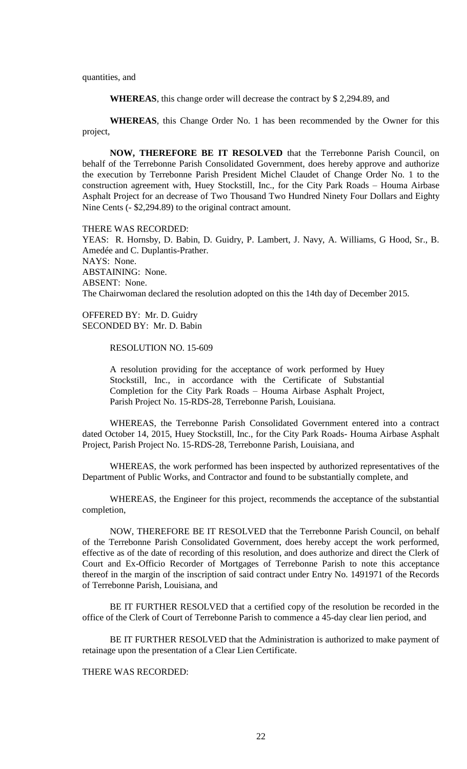quantities, and

**WHEREAS**, this change order will decrease the contract by \$ 2,294.89, and

**WHEREAS**, this Change Order No. 1 has been recommended by the Owner for this project,

**NOW, THEREFORE BE IT RESOLVED** that the Terrebonne Parish Council, on behalf of the Terrebonne Parish Consolidated Government, does hereby approve and authorize the execution by Terrebonne Parish President Michel Claudet of Change Order No. 1 to the construction agreement with, Huey Stockstill, Inc., for the City Park Roads – Houma Airbase Asphalt Project for an decrease of Two Thousand Two Hundred Ninety Four Dollars and Eighty Nine Cents (- \$2,294.89) to the original contract amount.

THERE WAS RECORDED:

YEAS: R. Hornsby, D. Babin, D. Guidry, P. Lambert, J. Navy, A. Williams, G Hood, Sr., B. Amedée and C. Duplantis-Prather. NAYS: None. ABSTAINING: None. ABSENT: None. The Chairwoman declared the resolution adopted on this the 14th day of December 2015.

OFFERED BY: Mr. D. Guidry SECONDED BY: Mr. D. Babin

RESOLUTION NO. 15-609

A resolution providing for the acceptance of work performed by Huey Stockstill, Inc., in accordance with the Certificate of Substantial Completion for the City Park Roads – Houma Airbase Asphalt Project, Parish Project No. 15-RDS-28, Terrebonne Parish, Louisiana.

WHEREAS, the Terrebonne Parish Consolidated Government entered into a contract dated October 14, 2015, Huey Stockstill, Inc., for the City Park Roads- Houma Airbase Asphalt Project, Parish Project No. 15-RDS-28, Terrebonne Parish, Louisiana, and

WHEREAS, the work performed has been inspected by authorized representatives of the Department of Public Works, and Contractor and found to be substantially complete, and

WHEREAS, the Engineer for this project, recommends the acceptance of the substantial completion,

NOW, THEREFORE BE IT RESOLVED that the Terrebonne Parish Council, on behalf of the Terrebonne Parish Consolidated Government, does hereby accept the work performed, effective as of the date of recording of this resolution, and does authorize and direct the Clerk of Court and Ex-Officio Recorder of Mortgages of Terrebonne Parish to note this acceptance thereof in the margin of the inscription of said contract under Entry No. 1491971 of the Records of Terrebonne Parish, Louisiana, and

BE IT FURTHER RESOLVED that a certified copy of the resolution be recorded in the office of the Clerk of Court of Terrebonne Parish to commence a 45-day clear lien period, and

BE IT FURTHER RESOLVED that the Administration is authorized to make payment of retainage upon the presentation of a Clear Lien Certificate.

THERE WAS RECORDED: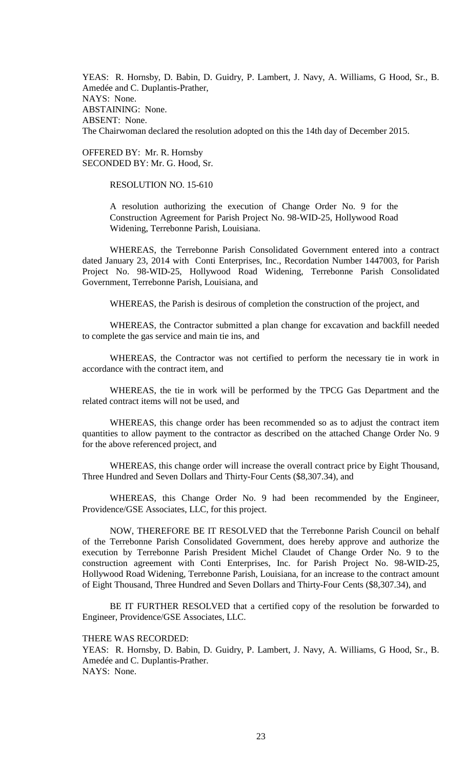YEAS: R. Hornsby, D. Babin, D. Guidry, P. Lambert, J. Navy, A. Williams, G Hood, Sr., B. Amedée and C. Duplantis-Prather, NAYS: None. ABSTAINING: None. ABSENT: None. The Chairwoman declared the resolution adopted on this the 14th day of December 2015.

OFFERED BY: Mr. R. Hornsby SECONDED BY: Mr. G. Hood, Sr.

RESOLUTION NO. 15-610

A resolution authorizing the execution of Change Order No. 9 for the Construction Agreement for Parish Project No. 98-WID-25, Hollywood Road Widening, Terrebonne Parish, Louisiana.

WHEREAS, the Terrebonne Parish Consolidated Government entered into a contract dated January 23, 2014 with Conti Enterprises, Inc., Recordation Number 1447003, for Parish Project No. 98-WID-25, Hollywood Road Widening, Terrebonne Parish Consolidated Government, Terrebonne Parish, Louisiana, and

WHEREAS, the Parish is desirous of completion the construction of the project, and

WHEREAS, the Contractor submitted a plan change for excavation and backfill needed to complete the gas service and main tie ins, and

WHEREAS, the Contractor was not certified to perform the necessary tie in work in accordance with the contract item, and

WHEREAS, the tie in work will be performed by the TPCG Gas Department and the related contract items will not be used, and

WHEREAS, this change order has been recommended so as to adjust the contract item quantities to allow payment to the contractor as described on the attached Change Order No. 9 for the above referenced project, and

WHEREAS, this change order will increase the overall contract price by Eight Thousand, Three Hundred and Seven Dollars and Thirty-Four Cents (\$8,307.34), and

WHEREAS, this Change Order No. 9 had been recommended by the Engineer, Providence/GSE Associates, LLC, for this project.

NOW, THEREFORE BE IT RESOLVED that the Terrebonne Parish Council on behalf of the Terrebonne Parish Consolidated Government, does hereby approve and authorize the execution by Terrebonne Parish President Michel Claudet of Change Order No. 9 to the construction agreement with Conti Enterprises, Inc. for Parish Project No. 98-WID-25, Hollywood Road Widening, Terrebonne Parish, Louisiana, for an increase to the contract amount of Eight Thousand, Three Hundred and Seven Dollars and Thirty-Four Cents (\$8,307.34), and

BE IT FURTHER RESOLVED that a certified copy of the resolution be forwarded to Engineer, Providence/GSE Associates, LLC.

THERE WAS RECORDED:

YEAS: R. Hornsby, D. Babin, D. Guidry, P. Lambert, J. Navy, A. Williams, G Hood, Sr., B. Amedée and C. Duplantis-Prather. NAYS: None.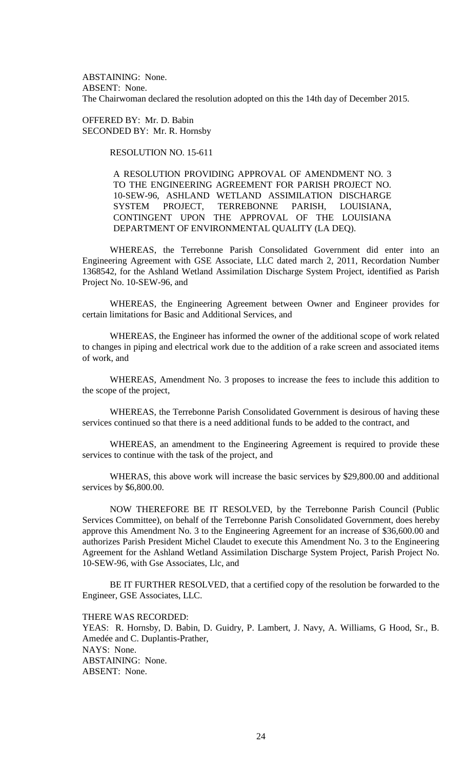ABSTAINING: None. ABSENT: None. The Chairwoman declared the resolution adopted on this the 14th day of December 2015.

OFFERED BY: Mr. D. Babin SECONDED BY: Mr. R. Hornsby

RESOLUTION NO. 15-611

A RESOLUTION PROVIDING APPROVAL OF AMENDMENT NO. 3 TO THE ENGINEERING AGREEMENT FOR PARISH PROJECT NO. 10-SEW-96, ASHLAND WETLAND ASSIMILATION DISCHARGE SYSTEM PROJECT, TERREBONNE PARISH, LOUISIANA, CONTINGENT UPON THE APPROVAL OF THE LOUISIANA DEPARTMENT OF ENVIRONMENTAL QUALITY (LA DEQ).

WHEREAS, the Terrebonne Parish Consolidated Government did enter into an Engineering Agreement with GSE Associate, LLC dated march 2, 2011, Recordation Number 1368542, for the Ashland Wetland Assimilation Discharge System Project, identified as Parish Project No. 10-SEW-96, and

WHEREAS, the Engineering Agreement between Owner and Engineer provides for certain limitations for Basic and Additional Services, and

WHEREAS, the Engineer has informed the owner of the additional scope of work related to changes in piping and electrical work due to the addition of a rake screen and associated items of work, and

WHEREAS, Amendment No. 3 proposes to increase the fees to include this addition to the scope of the project,

WHEREAS, the Terrebonne Parish Consolidated Government is desirous of having these services continued so that there is a need additional funds to be added to the contract, and

WHEREAS, an amendment to the Engineering Agreement is required to provide these services to continue with the task of the project, and

WHERAS, this above work will increase the basic services by \$29,800.00 and additional services by \$6,800.00.

NOW THEREFORE BE IT RESOLVED, by the Terrebonne Parish Council (Public Services Committee), on behalf of the Terrebonne Parish Consolidated Government, does hereby approve this Amendment No. 3 to the Engineering Agreement for an increase of \$36,600.00 and authorizes Parish President Michel Claudet to execute this Amendment No. 3 to the Engineering Agreement for the Ashland Wetland Assimilation Discharge System Project, Parish Project No. 10-SEW-96, with Gse Associates, Llc, and

BE IT FURTHER RESOLVED, that a certified copy of the resolution be forwarded to the Engineer, GSE Associates, LLC.

THERE WAS RECORDED:

YEAS: R. Hornsby, D. Babin, D. Guidry, P. Lambert, J. Navy, A. Williams, G Hood, Sr., B. Amedée and C. Duplantis-Prather, NAYS: None. ABSTAINING: None. ABSENT: None.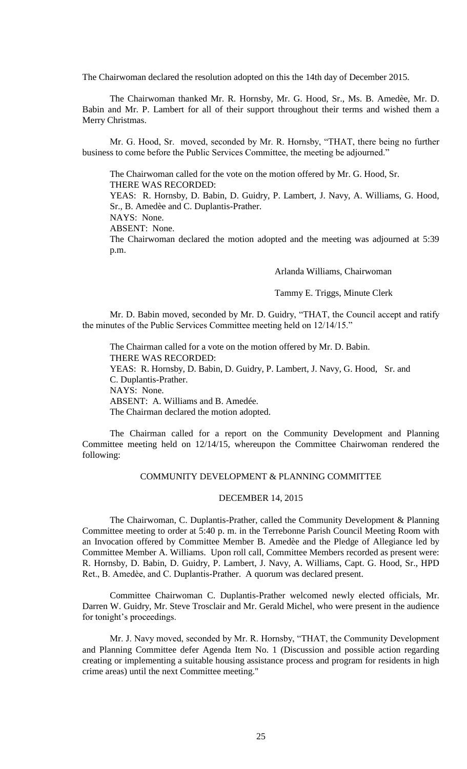The Chairwoman declared the resolution adopted on this the 14th day of December 2015.

The Chairwoman thanked Mr. R. Hornsby, Mr. G. Hood, Sr., Ms. B. Amedèe, Mr. D. Babin and Mr. P. Lambert for all of their support throughout their terms and wished them a Merry Christmas.

Mr. G. Hood, Sr. moved, seconded by Mr. R. Hornsby, "THAT, there being no further business to come before the Public Services Committee, the meeting be adjourned."

The Chairwoman called for the vote on the motion offered by Mr. G. Hood, Sr. THERE WAS RECORDED:

YEAS: R. Hornsby, D. Babin, D. Guidry, P. Lambert, J. Navy, A. Williams, G. Hood, Sr., B. Amedèe and C. Duplantis-Prather.

NAYS: None.

ABSENT: None.

The Chairwoman declared the motion adopted and the meeting was adjourned at 5:39 p.m.

Arlanda Williams, Chairwoman

Tammy E. Triggs, Minute Clerk

Mr. D. Babin moved, seconded by Mr. D. Guidry, "THAT, the Council accept and ratify the minutes of the Public Services Committee meeting held on 12/14/15."

The Chairman called for a vote on the motion offered by Mr. D. Babin. THERE WAS RECORDED: YEAS: R. Hornsby, D. Babin, D. Guidry, P. Lambert, J. Navy, G. Hood, Sr. and C. Duplantis-Prather. NAYS: None. ABSENT: A. Williams and B. Amedée. The Chairman declared the motion adopted.

The Chairman called for a report on the Community Development and Planning Committee meeting held on 12/14/15, whereupon the Committee Chairwoman rendered the following:

# COMMUNITY DEVELOPMENT & PLANNING COMMITTEE

# DECEMBER 14, 2015

The Chairwoman, C. Duplantis-Prather, called the Community Development & Planning Committee meeting to order at 5:40 p. m. in the Terrebonne Parish Council Meeting Room with an Invocation offered by Committee Member B. Amedèe and the Pledge of Allegiance led by Committee Member A. Williams. Upon roll call, Committee Members recorded as present were: R. Hornsby, D. Babin, D. Guidry, P. Lambert, J. Navy, A. Williams, Capt. G. Hood, Sr., HPD Ret., B. Amedèe, and C. Duplantis-Prather. A quorum was declared present.

Committee Chairwoman C. Duplantis-Prather welcomed newly elected officials, Mr. Darren W. Guidry, Mr. Steve Trosclair and Mr. Gerald Michel, who were present in the audience for tonight's proceedings.

Mr. J. Navy moved, seconded by Mr. R. Hornsby, "THAT, the Community Development and Planning Committee defer Agenda Item No. 1 (Discussion and possible action regarding creating or implementing a suitable housing assistance process and program for residents in high crime areas) until the next Committee meeting."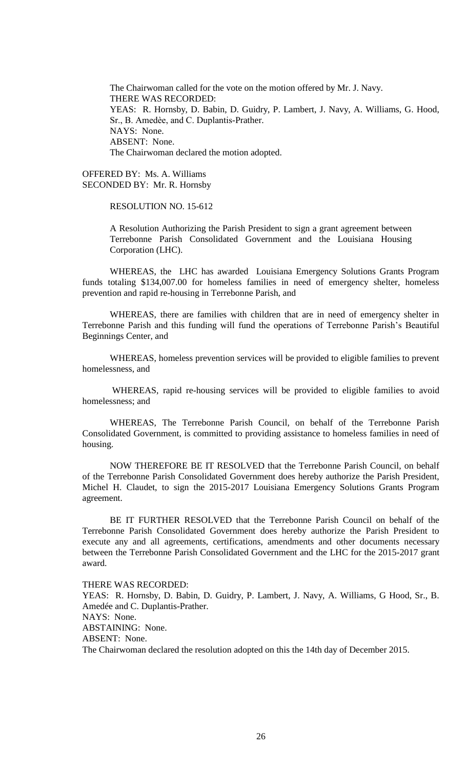The Chairwoman called for the vote on the motion offered by Mr. J. Navy. THERE WAS RECORDED: YEAS: R. Hornsby, D. Babin, D. Guidry, P. Lambert, J. Navy, A. Williams, G. Hood, Sr., B. Amedèe, and C. Duplantis-Prather. NAYS: None. ABSENT: None. The Chairwoman declared the motion adopted.

OFFERED BY: Ms. A. Williams SECONDED BY: Mr. R. Hornsby

RESOLUTION NO. 15-612

A Resolution Authorizing the Parish President to sign a grant agreement between Terrebonne Parish Consolidated Government and the Louisiana Housing Corporation (LHC).

WHEREAS, the LHC has awarded Louisiana Emergency Solutions Grants Program funds totaling \$134,007.00 for homeless families in need of emergency shelter, homeless prevention and rapid re-housing in Terrebonne Parish, and

WHEREAS, there are families with children that are in need of emergency shelter in Terrebonne Parish and this funding will fund the operations of Terrebonne Parish's Beautiful Beginnings Center, and

WHEREAS, homeless prevention services will be provided to eligible families to prevent homelessness, and

WHEREAS, rapid re-housing services will be provided to eligible families to avoid homelessness; and

WHEREAS, The Terrebonne Parish Council, on behalf of the Terrebonne Parish Consolidated Government, is committed to providing assistance to homeless families in need of housing.

NOW THEREFORE BE IT RESOLVED that the Terrebonne Parish Council, on behalf of the Terrebonne Parish Consolidated Government does hereby authorize the Parish President, Michel H. Claudet, to sign the 2015-2017 Louisiana Emergency Solutions Grants Program agreement.

BE IT FURTHER RESOLVED that the Terrebonne Parish Council on behalf of the Terrebonne Parish Consolidated Government does hereby authorize the Parish President to execute any and all agreements, certifications, amendments and other documents necessary between the Terrebonne Parish Consolidated Government and the LHC for the 2015-2017 grant award.

THERE WAS RECORDED:

YEAS: R. Hornsby, D. Babin, D. Guidry, P. Lambert, J. Navy, A. Williams, G Hood, Sr., B. Amedée and C. Duplantis-Prather.

NAYS: None.

ABSTAINING: None.

ABSENT: None.

The Chairwoman declared the resolution adopted on this the 14th day of December 2015.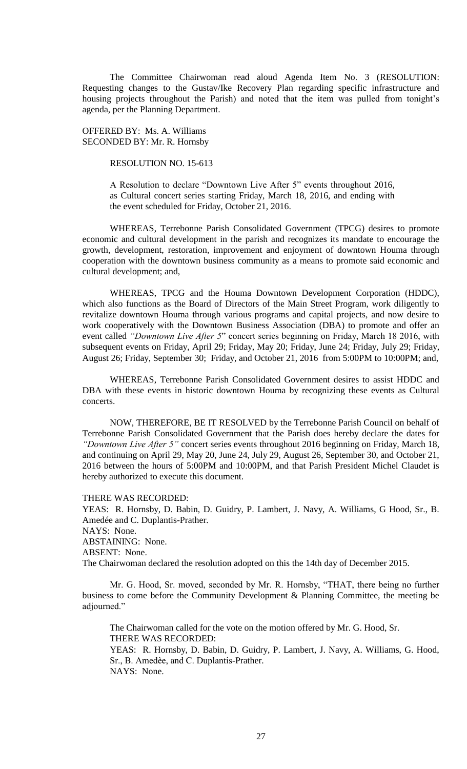The Committee Chairwoman read aloud Agenda Item No. 3 (RESOLUTION: Requesting changes to the Gustav/Ike Recovery Plan regarding specific infrastructure and housing projects throughout the Parish) and noted that the item was pulled from tonight's agenda, per the Planning Department.

OFFERED BY: Ms. A. Williams SECONDED BY: Mr. R. Hornsby

RESOLUTION NO. 15-613

A Resolution to declare "Downtown Live After 5" events throughout 2016, as Cultural concert series starting Friday, March 18, 2016, and ending with the event scheduled for Friday, October 21, 2016.

WHEREAS, Terrebonne Parish Consolidated Government (TPCG) desires to promote economic and cultural development in the parish and recognizes its mandate to encourage the growth, development, restoration, improvement and enjoyment of downtown Houma through cooperation with the downtown business community as a means to promote said economic and cultural development; and,

WHEREAS, TPCG and the Houma Downtown Development Corporation (HDDC), which also functions as the Board of Directors of the Main Street Program, work diligently to revitalize downtown Houma through various programs and capital projects, and now desire to work cooperatively with the Downtown Business Association (DBA) to promote and offer an event called *"Downtown Live After 5*" concert series beginning on Friday, March 18 2016, with subsequent events on Friday, April 29; Friday, May 20; Friday, June 24; Friday, July 29; Friday, August 26; Friday, September 30; Friday, and October 21, 2016 from 5:00PM to 10:00PM; and,

WHEREAS, Terrebonne Parish Consolidated Government desires to assist HDDC and DBA with these events in historic downtown Houma by recognizing these events as Cultural concerts.

NOW, THEREFORE, BE IT RESOLVED by the Terrebonne Parish Council on behalf of Terrebonne Parish Consolidated Government that the Parish does hereby declare the dates for *"Downtown Live After 5"* concert series events throughout 2016 beginning on Friday*,* March 18, and continuing on April 29, May 20, June 24, July 29, August 26, September 30, and October 21, 2016 between the hours of 5:00PM and 10:00PM, and that Parish President Michel Claudet is hereby authorized to execute this document.

THERE WAS RECORDED:

YEAS: R. Hornsby, D. Babin, D. Guidry, P. Lambert, J. Navy, A. Williams, G Hood, Sr., B. Amedée and C. Duplantis-Prather. NAYS: None. ABSTAINING: None. ABSENT: None. The Chairwoman declared the resolution adopted on this the 14th day of December 2015.

Mr. G. Hood, Sr. moved, seconded by Mr. R. Hornsby, "THAT, there being no further business to come before the Community Development & Planning Committee, the meeting be adjourned."

The Chairwoman called for the vote on the motion offered by Mr. G. Hood, Sr. THERE WAS RECORDED: YEAS: R. Hornsby, D. Babin, D. Guidry, P. Lambert, J. Navy, A. Williams, G. Hood, Sr., B. Amedèe, and C. Duplantis-Prather. NAYS: None.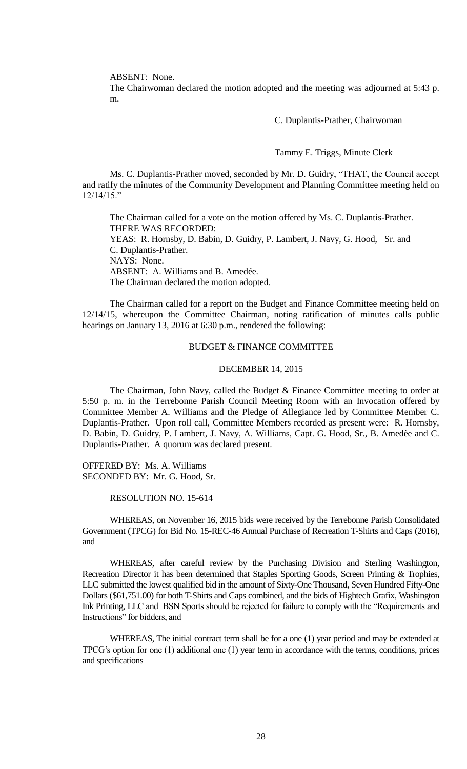ABSENT: None.

The Chairwoman declared the motion adopted and the meeting was adjourned at 5:43 p. m.

C. Duplantis-Prather, Chairwoman

Tammy E. Triggs, Minute Clerk

Ms. C. Duplantis-Prather moved, seconded by Mr. D. Guidry, "THAT, the Council accept and ratify the minutes of the Community Development and Planning Committee meeting held on 12/14/15."

The Chairman called for a vote on the motion offered by Ms. C. Duplantis-Prather. THERE WAS RECORDED: YEAS: R. Hornsby, D. Babin, D. Guidry, P. Lambert, J. Navy, G. Hood, Sr. and C. Duplantis-Prather. NAYS: None. ABSENT: A. Williams and B. Amedée. The Chairman declared the motion adopted.

The Chairman called for a report on the Budget and Finance Committee meeting held on 12/14/15, whereupon the Committee Chairman, noting ratification of minutes calls public hearings on January 13, 2016 at 6:30 p.m., rendered the following:

## BUDGET & FINANCE COMMITTEE

#### DECEMBER 14, 2015

The Chairman, John Navy, called the Budget & Finance Committee meeting to order at 5:50 p. m. in the Terrebonne Parish Council Meeting Room with an Invocation offered by Committee Member A. Williams and the Pledge of Allegiance led by Committee Member C. Duplantis-Prather. Upon roll call, Committee Members recorded as present were: R. Hornsby, D. Babin, D. Guidry, P. Lambert, J. Navy, A. Williams, Capt. G. Hood, Sr., B. Amedèe and C. Duplantis-Prather. A quorum was declared present.

OFFERED BY: Ms. A. Williams SECONDED BY: Mr. G. Hood, Sr.

RESOLUTION NO. 15-614

WHEREAS, on November 16, 2015 bids were received by the Terrebonne Parish Consolidated Government (TPCG) for Bid No. 15-REC-46 Annual Purchase of Recreation T-Shirts and Caps (2016), and

WHEREAS, after careful review by the Purchasing Division and Sterling Washington, Recreation Director it has been determined that Staples Sporting Goods, Screen Printing & Trophies, LLC submitted the lowest qualified bid in the amount of Sixty-One Thousand, Seven Hundred Fifty-One Dollars (\$61,751.00) for both T-Shirts and Caps combined, and the bids of Hightech Grafix, Washington Ink Printing, LLC and BSN Sports should be rejected for failure to comply with the "Requirements and Instructions" for bidders, and

WHEREAS, The initial contract term shall be for a one (1) year period and may be extended at TPCG's option for one (1) additional one (1) year term in accordance with the terms, conditions, prices and specifications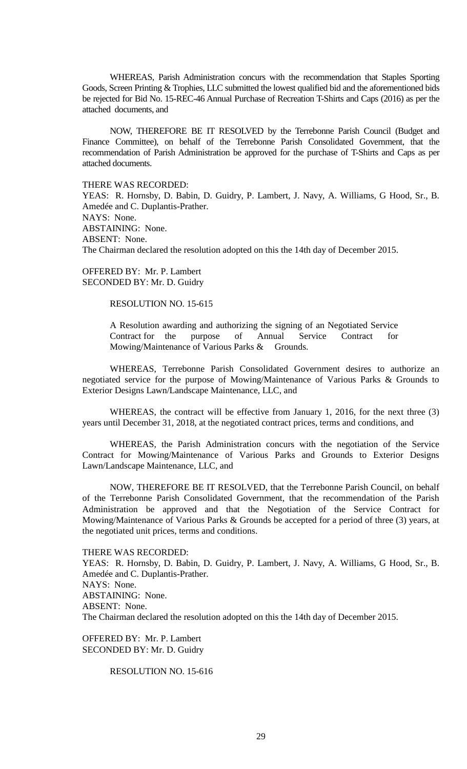WHEREAS, Parish Administration concurs with the recommendation that Staples Sporting Goods, Screen Printing & Trophies, LLC submitted the lowest qualified bid and the aforementioned bids be rejected for Bid No. 15-REC-46 Annual Purchase of Recreation T-Shirts and Caps (2016) as per the attached documents, and

NOW, THEREFORE BE IT RESOLVED by the Terrebonne Parish Council (Budget and Finance Committee), on behalf of the Terrebonne Parish Consolidated Government, that the recommendation of Parish Administration be approved for the purchase of T-Shirts and Caps as per attached documents.

THERE WAS RECORDED:

YEAS: R. Hornsby, D. Babin, D. Guidry, P. Lambert, J. Navy, A. Williams, G Hood, Sr., B. Amedée and C. Duplantis-Prather. NAYS: None. ABSTAINING: None. ABSENT: None. The Chairman declared the resolution adopted on this the 14th day of December 2015.

OFFERED BY: Mr. P. Lambert SECONDED BY: Mr. D. Guidry

RESOLUTION NO. 15-615

A Resolution awarding and authorizing the signing of an Negotiated Service Contract for the purpose of Annual Service Contract for Mowing/Maintenance of Various Parks & Grounds.

WHEREAS, Terrebonne Parish Consolidated Government desires to authorize an negotiated service for the purpose of Mowing/Maintenance of Various Parks & Grounds to Exterior Designs Lawn/Landscape Maintenance, LLC, and

WHEREAS, the contract will be effective from January 1, 2016, for the next three (3) years until December 31, 2018, at the negotiated contract prices, terms and conditions, and

WHEREAS, the Parish Administration concurs with the negotiation of the Service Contract for Mowing/Maintenance of Various Parks and Grounds to Exterior Designs Lawn/Landscape Maintenance, LLC, and

NOW, THEREFORE BE IT RESOLVED, that the Terrebonne Parish Council, on behalf of the Terrebonne Parish Consolidated Government, that the recommendation of the Parish Administration be approved and that the Negotiation of the Service Contract for Mowing/Maintenance of Various Parks & Grounds be accepted for a period of three (3) years, at the negotiated unit prices, terms and conditions.

THERE WAS RECORDED:

YEAS: R. Hornsby, D. Babin, D. Guidry, P. Lambert, J. Navy, A. Williams, G Hood, Sr., B. Amedée and C. Duplantis-Prather. NAYS: None. ABSTAINING: None. ABSENT: None. The Chairman declared the resolution adopted on this the 14th day of December 2015.

OFFERED BY: Mr. P. Lambert SECONDED BY: Mr. D. Guidry

RESOLUTION NO. 15-616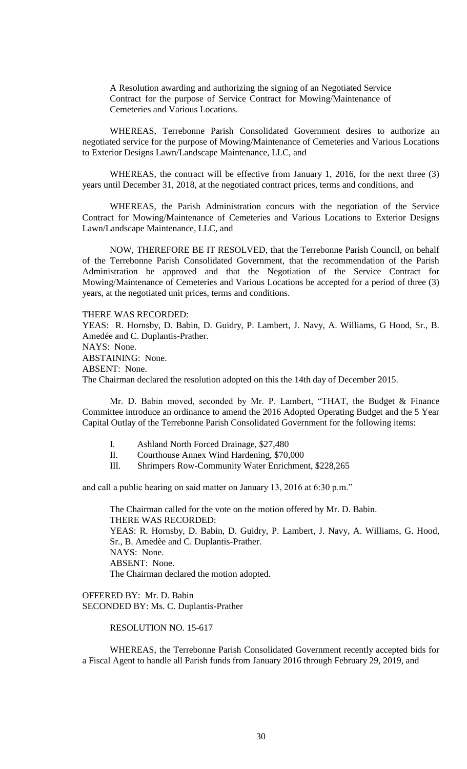A Resolution awarding and authorizing the signing of an Negotiated Service Contract for the purpose of Service Contract for Mowing/Maintenance of Cemeteries and Various Locations.

WHEREAS, Terrebonne Parish Consolidated Government desires to authorize an negotiated service for the purpose of Mowing/Maintenance of Cemeteries and Various Locations to Exterior Designs Lawn/Landscape Maintenance, LLC, and

WHEREAS, the contract will be effective from January 1, 2016, for the next three (3) years until December 31, 2018, at the negotiated contract prices, terms and conditions, and

WHEREAS, the Parish Administration concurs with the negotiation of the Service Contract for Mowing/Maintenance of Cemeteries and Various Locations to Exterior Designs Lawn/Landscape Maintenance, LLC, and

NOW, THEREFORE BE IT RESOLVED, that the Terrebonne Parish Council, on behalf of the Terrebonne Parish Consolidated Government, that the recommendation of the Parish Administration be approved and that the Negotiation of the Service Contract for Mowing/Maintenance of Cemeteries and Various Locations be accepted for a period of three (3) years, at the negotiated unit prices, terms and conditions.

THERE WAS RECORDED:

YEAS: R. Hornsby, D. Babin, D. Guidry, P. Lambert, J. Navy, A. Williams, G Hood, Sr., B. Amedée and C. Duplantis-Prather. NAYS: None. ABSTAINING: None. ABSENT: None. The Chairman declared the resolution adopted on this the 14th day of December 2015.

Mr. D. Babin moved, seconded by Mr. P. Lambert, "THAT, the Budget & Finance Committee introduce an ordinance to amend the 2016 Adopted Operating Budget and the 5 Year Capital Outlay of the Terrebonne Parish Consolidated Government for the following items:

- I. Ashland North Forced Drainage, \$27,480
- II. Courthouse Annex Wind Hardening, \$70,000
- III. Shrimpers Row-Community Water Enrichment, \$228,265

and call a public hearing on said matter on January 13, 2016 at 6:30 p.m."

The Chairman called for the vote on the motion offered by Mr. D. Babin. THERE WAS RECORDED: YEAS: R. Hornsby, D. Babin, D. Guidry, P. Lambert, J. Navy, A. Williams, G. Hood, Sr., B. Amedèe and C. Duplantis-Prather. NAYS: None. ABSENT: None. The Chairman declared the motion adopted.

OFFERED BY: Mr. D. Babin SECONDED BY: Ms. C. Duplantis-Prather

## RESOLUTION NO. 15-617

WHEREAS, the Terrebonne Parish Consolidated Government recently accepted bids for a Fiscal Agent to handle all Parish funds from January 2016 through February 29, 2019, and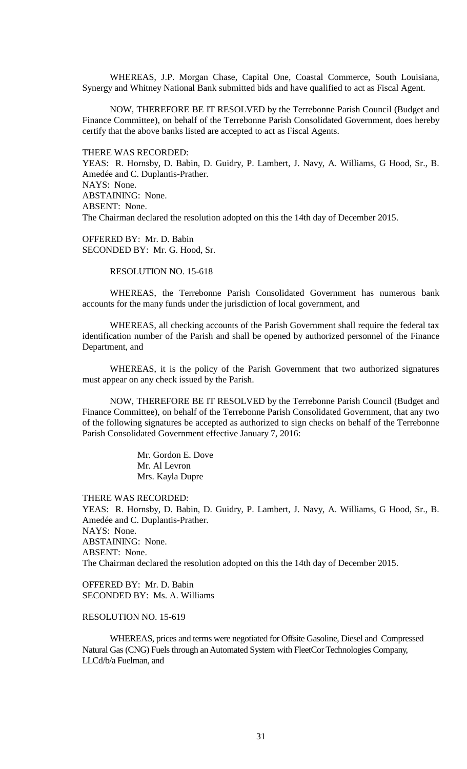WHEREAS, J.P. Morgan Chase, Capital One, Coastal Commerce, South Louisiana, Synergy and Whitney National Bank submitted bids and have qualified to act as Fiscal Agent.

NOW, THEREFORE BE IT RESOLVED by the Terrebonne Parish Council (Budget and Finance Committee), on behalf of the Terrebonne Parish Consolidated Government, does hereby certify that the above banks listed are accepted to act as Fiscal Agents.

THERE WAS RECORDED:

YEAS: R. Hornsby, D. Babin, D. Guidry, P. Lambert, J. Navy, A. Williams, G Hood, Sr., B. Amedée and C. Duplantis-Prather. NAYS: None. ABSTAINING: None. ABSENT: None. The Chairman declared the resolution adopted on this the 14th day of December 2015.

OFFERED BY: Mr. D. Babin SECONDED BY: Mr. G. Hood, Sr.

RESOLUTION NO. 15-618

WHEREAS, the Terrebonne Parish Consolidated Government has numerous bank accounts for the many funds under the jurisdiction of local government, and

WHEREAS, all checking accounts of the Parish Government shall require the federal tax identification number of the Parish and shall be opened by authorized personnel of the Finance Department, and

WHEREAS, it is the policy of the Parish Government that two authorized signatures must appear on any check issued by the Parish.

NOW, THEREFORE BE IT RESOLVED by the Terrebonne Parish Council (Budget and Finance Committee), on behalf of the Terrebonne Parish Consolidated Government, that any two of the following signatures be accepted as authorized to sign checks on behalf of the Terrebonne Parish Consolidated Government effective January 7, 2016:

> Mr. Gordon E. Dove Mr. Al Levron Mrs. Kayla Dupre

THERE WAS RECORDED:

YEAS: R. Hornsby, D. Babin, D. Guidry, P. Lambert, J. Navy, A. Williams, G Hood, Sr., B. Amedée and C. Duplantis-Prather. NAYS: None. ABSTAINING: None. ABSENT: None. The Chairman declared the resolution adopted on this the 14th day of December 2015.

OFFERED BY: Mr. D. Babin SECONDED BY: Ms. A. Williams

## RESOLUTION NO. 15-619

WHEREAS, prices and terms were negotiated for Offsite Gasoline, Diesel and Compressed Natural Gas (CNG) Fuels through an Automated System with FleetCor Technologies Company, LLCd/b/a Fuelman, and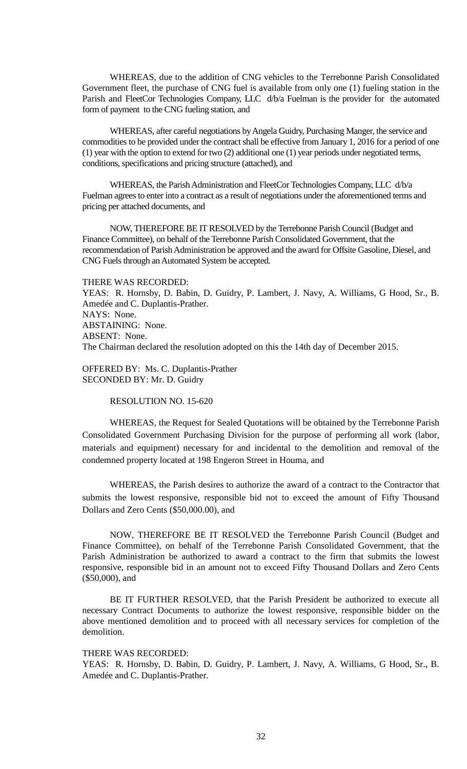WHEREAS, due to the addition of CNG vehicles to the Terrebonne Parish Consolidated Government fleet, the purchase of CNG fuel is available from only one (1) fueling station in the Parish and FleetCor Technologies Company, LLC d/b/a Fuelman is the provider for the automated form of payment to the CNG fueling station, and

WHEREAS, after careful negotiations by Angela Guidry, Purchasing Manger, the service and commodities to be provided under the contract shall be effective from January 1, 2016 for a period of one (1) year with the option to extend for two (2) additional one (1) year periods under negotiated terms, conditions, specifications and pricing structure (attached), and

WHEREAS, the Parish Administration and FleetCor Technologies Company, LLC d/b/a Fuelman agrees to enter into a contract as a result of negotiations under the aforementioned terms and pricing per attached documents, and

NOW, THEREFORE BE IT RESOLVED by the Terrebonne Parish Council (Budget and Finance Committee), on behalf of the Terrebonne Parish Consolidated Government, that the recommendation of Parish Administration be approved and the award for Offsite Gasoline, Diesel, and CNG Fuels through an Automated System be accepted.

THERE WAS RECORDED:

YEAS: R. Hornsby, D. Babin, D. Guidry, P. Lambert, J. Navy, A. Williams, G Hood, Sr., B. Amedée and C. Duplantis-Prather. NAYS: None. ABSTAINING: None. ABSENT: None. The Chairman declared the resolution adopted on this the 14th day of December 2015.

OFFERED BY: Ms. C. Duplantis-Prather SECONDED BY: Mr. D. Guidry

RESOLUTION NO. 15-620

WHEREAS, the Request for Sealed Quotations will be obtained by the Terrebonne Parish Consolidated Government Purchasing Division for the purpose of performing all work (labor, materials and equipment) necessary for and incidental to the demolition and removal of the condemned property located at 198 Engeron Street in Houma, and

WHEREAS, the Parish desires to authorize the award of a contract to the Contractor that submits the lowest responsive, responsible bid not to exceed the amount of Fifty Thousand Dollars and Zero Cents (\$50,000.00), and

NOW, THEREFORE BE IT RESOLVED the Terrebonne Parish Council (Budget and Finance Committee), on behalf of the Terrebonne Parish Consolidated Government, that the Parish Administration be authorized to award a contract to the firm that submits the lowest responsive, responsible bid in an amount not to exceed Fifty Thousand Dollars and Zero Cents (\$50,000), and

BE IT FURTHER RESOLVED, that the Parish President be authorized to execute all necessary Contract Documents to authorize the lowest responsive, responsible bidder on the above mentioned demolition and to proceed with all necessary services for completion of the demolition.

THERE WAS RECORDED:

YEAS: R. Hornsby, D. Babin, D. Guidry, P. Lambert, J. Navy, A. Williams, G Hood, Sr., B. Amedée and C. Duplantis-Prather.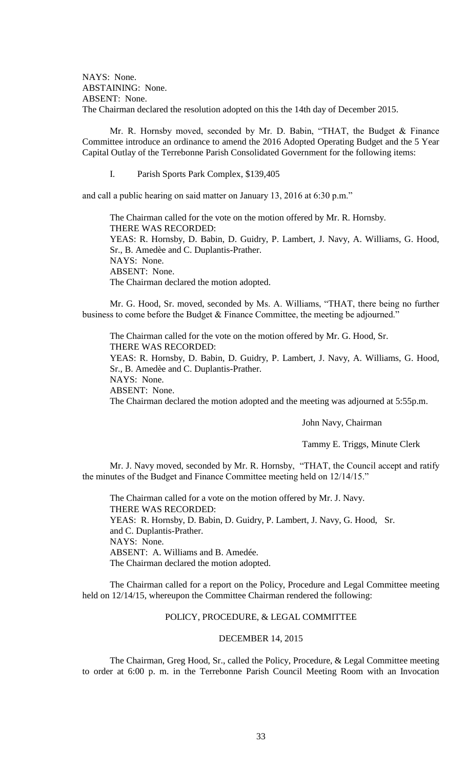NAYS: None. ABSTAINING: None. ABSENT: None. The Chairman declared the resolution adopted on this the 14th day of December 2015.

Mr. R. Hornsby moved, seconded by Mr. D. Babin, "THAT, the Budget & Finance Committee introduce an ordinance to amend the 2016 Adopted Operating Budget and the 5 Year Capital Outlay of the Terrebonne Parish Consolidated Government for the following items:

I. Parish Sports Park Complex, \$139,405

and call a public hearing on said matter on January 13, 2016 at 6:30 p.m."

The Chairman called for the vote on the motion offered by Mr. R. Hornsby. THERE WAS RECORDED: YEAS: R. Hornsby, D. Babin, D. Guidry, P. Lambert, J. Navy, A. Williams, G. Hood, Sr., B. Amedèe and C. Duplantis-Prather. NAYS: None. ABSENT: None. The Chairman declared the motion adopted.

Mr. G. Hood, Sr. moved, seconded by Ms. A. Williams, "THAT, there being no further business to come before the Budget & Finance Committee, the meeting be adjourned."

The Chairman called for the vote on the motion offered by Mr. G. Hood, Sr. THERE WAS RECORDED: YEAS: R. Hornsby, D. Babin, D. Guidry, P. Lambert, J. Navy, A. Williams, G. Hood, Sr., B. Amedèe and C. Duplantis-Prather. NAYS: None. ABSENT: None. The Chairman declared the motion adopted and the meeting was adjourned at 5:55p.m.

John Navy, Chairman

Tammy E. Triggs, Minute Clerk

Mr. J. Navy moved, seconded by Mr. R. Hornsby, "THAT, the Council accept and ratify the minutes of the Budget and Finance Committee meeting held on 12/14/15."

The Chairman called for a vote on the motion offered by Mr. J. Navy. THERE WAS RECORDED: YEAS: R. Hornsby, D. Babin, D. Guidry, P. Lambert, J. Navy, G. Hood, Sr. and C. Duplantis-Prather. NAYS: None. ABSENT: A. Williams and B. Amedée. The Chairman declared the motion adopted.

The Chairman called for a report on the Policy, Procedure and Legal Committee meeting held on 12/14/15, whereupon the Committee Chairman rendered the following:

# POLICY, PROCEDURE, & LEGAL COMMITTEE

### DECEMBER 14, 2015

The Chairman, Greg Hood, Sr., called the Policy, Procedure, & Legal Committee meeting to order at 6:00 p. m. in the Terrebonne Parish Council Meeting Room with an Invocation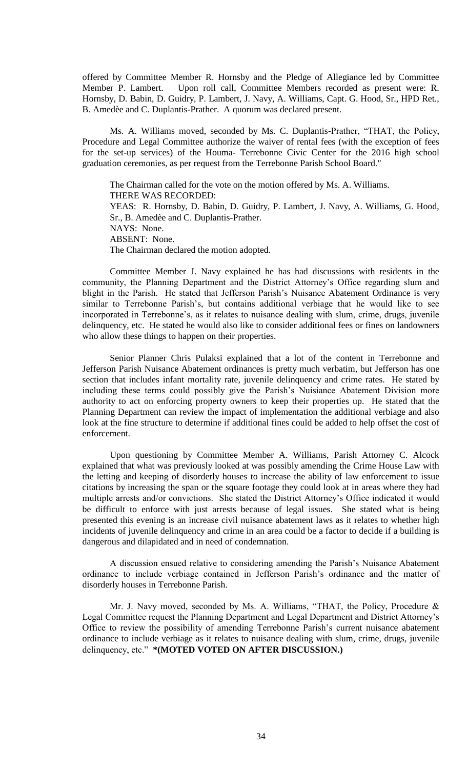offered by Committee Member R. Hornsby and the Pledge of Allegiance led by Committee Member P. Lambert. Upon roll call, Committee Members recorded as present were: R. Hornsby, D. Babin, D. Guidry, P. Lambert, J. Navy, A. Williams, Capt. G. Hood, Sr., HPD Ret., B. Amedèe and C. Duplantis-Prather. A quorum was declared present.

Ms. A. Williams moved, seconded by Ms. C. Duplantis-Prather, "THAT, the Policy, Procedure and Legal Committee authorize the waiver of rental fees (with the exception of fees for the set-up services) of the Houma- Terrebonne Civic Center for the 2016 high school graduation ceremonies, as per request from the Terrebonne Parish School Board."

The Chairman called for the vote on the motion offered by Ms. A. Williams. THERE WAS RECORDED: YEAS: R. Hornsby, D. Babin, D. Guidry, P. Lambert, J. Navy, A. Williams, G. Hood, Sr., B. Amedèe and C. Duplantis-Prather. NAYS: None. ABSENT: None. The Chairman declared the motion adopted.

Committee Member J. Navy explained he has had discussions with residents in the community, the Planning Department and the District Attorney's Office regarding slum and blight in the Parish. He stated that Jefferson Parish's Nuisance Abatement Ordinance is very similar to Terrebonne Parish's, but contains additional verbiage that he would like to see incorporated in Terrebonne's, as it relates to nuisance dealing with slum, crime, drugs, juvenile delinquency, etc. He stated he would also like to consider additional fees or fines on landowners who allow these things to happen on their properties.

Senior Planner Chris Pulaksi explained that a lot of the content in Terrebonne and Jefferson Parish Nuisance Abatement ordinances is pretty much verbatim, but Jefferson has one section that includes infant mortality rate, juvenile delinquency and crime rates. He stated by including these terms could possibly give the Parish's Nuisiance Abatement Division more authority to act on enforcing property owners to keep their properties up. He stated that the Planning Department can review the impact of implementation the additional verbiage and also look at the fine structure to determine if additional fines could be added to help offset the cost of enforcement.

Upon questioning by Committee Member A. Williams, Parish Attorney C. Alcock explained that what was previously looked at was possibly amending the Crime House Law with the letting and keeping of disorderly houses to increase the ability of law enforcement to issue citations by increasing the span or the square footage they could look at in areas where they had multiple arrests and/or convictions. She stated the District Attorney's Office indicated it would be difficult to enforce with just arrests because of legal issues. She stated what is being presented this evening is an increase civil nuisance abatement laws as it relates to whether high incidents of juvenile delinquency and crime in an area could be a factor to decide if a building is dangerous and dilapidated and in need of condemnation.

A discussion ensued relative to considering amending the Parish's Nuisance Abatement ordinance to include verbiage contained in Jefferson Parish's ordinance and the matter of disorderly houses in Terrebonne Parish.

Mr. J. Navy moved, seconded by Ms. A. Williams, "THAT, the Policy, Procedure & Legal Committee request the Planning Department and Legal Department and District Attorney's Office to review the possibility of amending Terrebonne Parish's current nuisance abatement ordinance to include verbiage as it relates to nuisance dealing with slum, crime, drugs, juvenile delinquency, etc." **\*(MOTED VOTED ON AFTER DISCUSSION.)**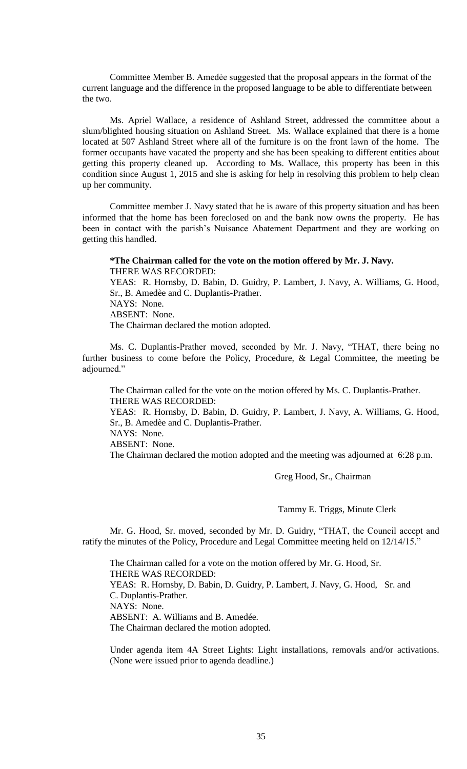Committee Member B. Amedẻe suggested that the proposal appears in the format of the current language and the difference in the proposed language to be able to differentiate between the two.

Ms. Apriel Wallace, a residence of Ashland Street, addressed the committee about a slum/blighted housing situation on Ashland Street. Ms. Wallace explained that there is a home located at 507 Ashland Street where all of the furniture is on the front lawn of the home. The former occupants have vacated the property and she has been speaking to different entities about getting this property cleaned up. According to Ms. Wallace, this property has been in this condition since August 1, 2015 and she is asking for help in resolving this problem to help clean up her community.

Committee member J. Navy stated that he is aware of this property situation and has been informed that the home has been foreclosed on and the bank now owns the property. He has been in contact with the parish's Nuisance Abatement Department and they are working on getting this handled.

#### **\*The Chairman called for the vote on the motion offered by Mr. J. Navy.** THERE WAS RECORDED:

YEAS: R. Hornsby, D. Babin, D. Guidry, P. Lambert, J. Navy, A. Williams, G. Hood, Sr., B. Amedèe and C. Duplantis-Prather. NAYS: None. ABSENT: None. The Chairman declared the motion adopted.

Ms. C. Duplantis-Prather moved, seconded by Mr. J. Navy, "THAT, there being no further business to come before the Policy, Procedure, & Legal Committee, the meeting be adjourned."

The Chairman called for the vote on the motion offered by Ms. C. Duplantis-Prather. THERE WAS RECORDED:

YEAS: R. Hornsby, D. Babin, D. Guidry, P. Lambert, J. Navy, A. Williams, G. Hood, Sr., B. Amedèe and C. Duplantis-Prather. NAYS: None.

ABSENT: None.

The Chairman declared the motion adopted and the meeting was adjourned at 6:28 p.m.

Greg Hood, Sr., Chairman

Tammy E. Triggs, Minute Clerk

Mr. G. Hood, Sr. moved, seconded by Mr. D. Guidry, "THAT, the Council accept and ratify the minutes of the Policy, Procedure and Legal Committee meeting held on 12/14/15."

The Chairman called for a vote on the motion offered by Mr. G. Hood, Sr. THERE WAS RECORDED: YEAS: R. Hornsby, D. Babin, D. Guidry, P. Lambert, J. Navy, G. Hood, Sr. and C. Duplantis-Prather. NAYS: None. ABSENT: A. Williams and B. Amedée. The Chairman declared the motion adopted.

Under agenda item 4A Street Lights: Light installations, removals and/or activations. (None were issued prior to agenda deadline.)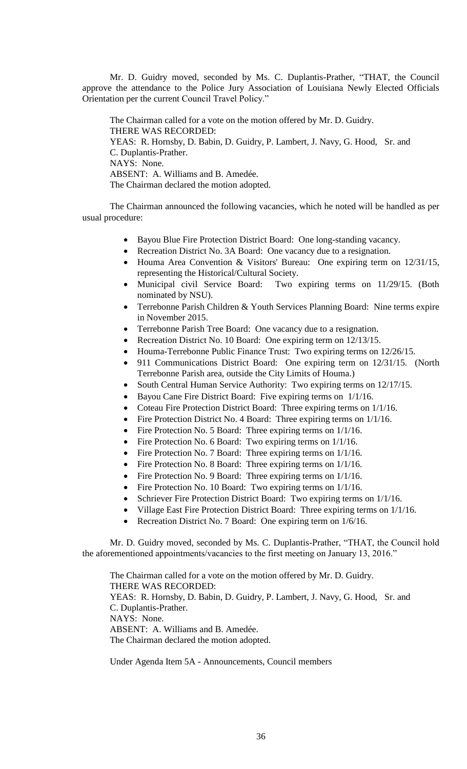Mr. D. Guidry moved, seconded by Ms. C. Duplantis-Prather, "THAT, the Council approve the attendance to the Police Jury Association of Louisiana Newly Elected Officials Orientation per the current Council Travel Policy."

The Chairman called for a vote on the motion offered by Mr. D. Guidry. THERE WAS RECORDED: YEAS: R. Hornsby, D. Babin, D. Guidry, P. Lambert, J. Navy, G. Hood, Sr. and C. Duplantis-Prather. NAYS: None. ABSENT: A. Williams and B. Amedée. The Chairman declared the motion adopted.

The Chairman announced the following vacancies, which he noted will be handled as per usual procedure:

- Bayou Blue Fire Protection District Board: One long-standing vacancy.
- Recreation District No. 3A Board: One vacancy due to a resignation.
- Houma Area Convention & Visitors' Bureau: One expiring term on 12/31/15, representing the Historical/Cultural Society.
- Municipal civil Service Board: Two expiring terms on 11/29/15. (Both nominated by NSU).
- Terrebonne Parish Children & Youth Services Planning Board: Nine terms expire in November 2015.
- Terrebonne Parish Tree Board: One vacancy due to a resignation.
- Recreation District No. 10 Board: One expiring term on 12/13/15.
- Houma-Terrebonne Public Finance Trust: Two expiring terms on 12/26/15.
- 911 Communications District Board: One expiring term on 12/31/15. (North Terrebonne Parish area, outside the City Limits of Houma.)
- South Central Human Service Authority: Two expiring terms on 12/17/15.
- Bayou Cane Fire District Board: Five expiring terms on 1/1/16.
- Coteau Fire Protection District Board: Three expiring terms on  $1/1/16$ .
- Fire Protection District No. 4 Board: Three expiring terms on  $1/1/16$ .
- Fire Protection No. 5 Board: Three expiring terms on  $1/1/16$ .
- Fire Protection No. 6 Board: Two expiring terms on  $1/1/16$ .
- Fire Protection No. 7 Board: Three expiring terms on  $1/1/16$ .
- Fire Protection No. 8 Board: Three expiring terms on  $1/1/16$ .
- Fire Protection No. 9 Board: Three expiring terms on  $1/1/16$ .
- Fire Protection No. 10 Board: Two expiring terms on  $1/1/16$ .
- Schriever Fire Protection District Board: Two expiring terms on 1/1/16.
- Village East Fire Protection District Board: Three expiring terms on 1/1/16.
- Recreation District No. 7 Board: One expiring term on  $1/6/16$ .

Mr. D. Guidry moved, seconded by Ms. C. Duplantis-Prather, "THAT, the Council hold the aforementioned appointments/vacancies to the first meeting on January 13, 2016."

The Chairman called for a vote on the motion offered by Mr. D. Guidry. THERE WAS RECORDED: YEAS: R. Hornsby, D. Babin, D. Guidry, P. Lambert, J. Navy, G. Hood, Sr. and C. Duplantis-Prather. NAYS: None. ABSENT: A. Williams and B. Amedée. The Chairman declared the motion adopted.

Under Agenda Item 5A - Announcements, Council members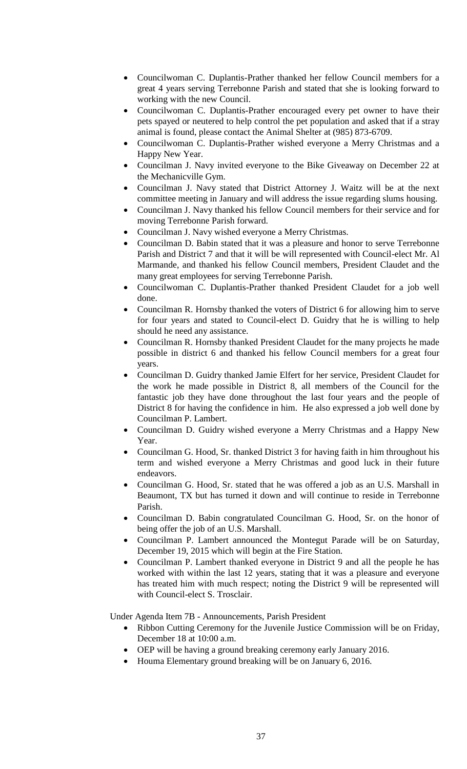- Councilwoman C. Duplantis-Prather thanked her fellow Council members for a great 4 years serving Terrebonne Parish and stated that she is looking forward to working with the new Council.
- Councilwoman C. Duplantis-Prather encouraged every pet owner to have their pets spayed or neutered to help control the pet population and asked that if a stray animal is found, please contact the Animal Shelter at (985) 873-6709.
- Councilwoman C. Duplantis-Prather wished everyone a Merry Christmas and a Happy New Year.
- Councilman J. Navy invited everyone to the Bike Giveaway on December 22 at the Mechanicville Gym.
- Councilman J. Navy stated that District Attorney J. Waitz will be at the next committee meeting in January and will address the issue regarding slums housing.
- Councilman J. Navy thanked his fellow Council members for their service and for moving Terrebonne Parish forward.
- Councilman J. Navy wished everyone a Merry Christmas.
- Councilman D. Babin stated that it was a pleasure and honor to serve Terrebonne Parish and District 7 and that it will be will represented with Council-elect Mr. Al Marmande, and thanked his fellow Council members, President Claudet and the many great employees for serving Terrebonne Parish.
- Councilwoman C. Duplantis-Prather thanked President Claudet for a job well done.
- Councilman R. Hornsby thanked the voters of District 6 for allowing him to serve for four years and stated to Council-elect D. Guidry that he is willing to help should he need any assistance.
- Councilman R. Hornsby thanked President Claudet for the many projects he made possible in district 6 and thanked his fellow Council members for a great four years.
- Councilman D. Guidry thanked Jamie Elfert for her service, President Claudet for the work he made possible in District 8, all members of the Council for the fantastic job they have done throughout the last four years and the people of District 8 for having the confidence in him. He also expressed a job well done by Councilman P. Lambert.
- Councilman D. Guidry wished everyone a Merry Christmas and a Happy New Year.
- Councilman G. Hood, Sr. thanked District 3 for having faith in him throughout his term and wished everyone a Merry Christmas and good luck in their future endeavors.
- Councilman G. Hood, Sr. stated that he was offered a job as an U.S. Marshall in Beaumont, TX but has turned it down and will continue to reside in Terrebonne Parish.
- Councilman D. Babin congratulated Councilman G. Hood, Sr. on the honor of being offer the job of an U.S. Marshall.
- Councilman P. Lambert announced the Montegut Parade will be on Saturday, December 19, 2015 which will begin at the Fire Station.
- Councilman P. Lambert thanked everyone in District 9 and all the people he has worked with within the last 12 years, stating that it was a pleasure and everyone has treated him with much respect; noting the District 9 will be represented will with Council-elect S. Trosclair.

Under Agenda Item 7B - Announcements, Parish President

- Ribbon Cutting Ceremony for the Juvenile Justice Commission will be on Friday, December 18 at 10:00 a.m.
- OEP will be having a ground breaking ceremony early January 2016.
- Houma Elementary ground breaking will be on January 6, 2016.